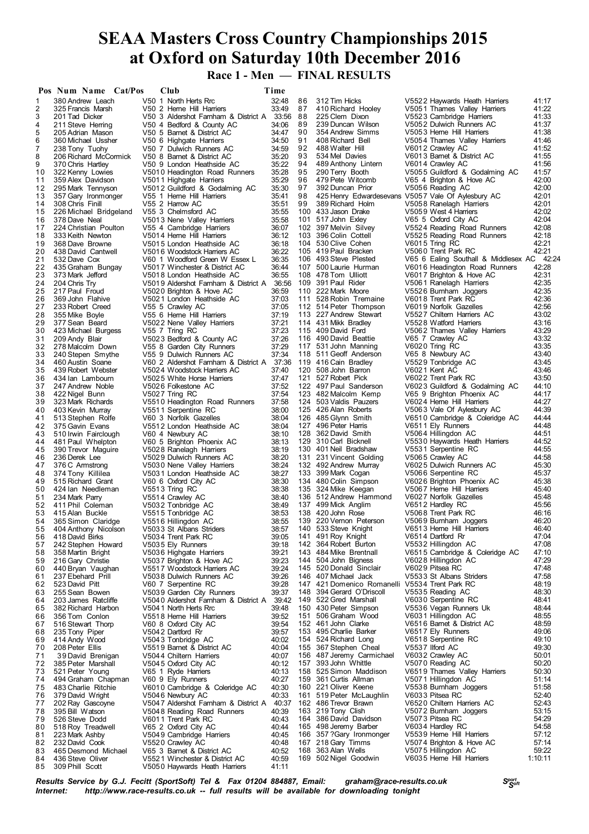**Race 1 - Men — FINAL RESULTS**

|          | Pos Num Name Cat/Pos                       | Club                                                  | Time           |          |                                                                        |                                                     |                |
|----------|--------------------------------------------|-------------------------------------------------------|----------------|----------|------------------------------------------------------------------------|-----------------------------------------------------|----------------|
| 1        | 380 Andrew Leach                           | V50 1 North Herts Rrc                                 | 32:48          | 86       | 312 Tim Hicks                                                          | V5522 Haywards Heath Harriers                       | 41:17          |
| 2        | 325 Francis Marsh                          | V50 2 Herne Hill Harriers                             | 33:49          | 87       | 410 Richard Hooley                                                     | V5051 Thames Valley Harriers                        | 41:22          |
| 3        | 201 Tad Dicker                             | V50 3 Aldershot Famham & District A                   | 33:56 88       |          | 225 Clem Dixon                                                         | V5523 Cambridge Harriers                            | 41:33          |
| 4        | 211 Steve Herring                          | V50 4 Bedford & County AC                             | 34:06          | 89       | 239 Duncan Wilson                                                      | V5052 Dulwich Runners AC                            | 41:37          |
| 5        | 205 Adrian Mason                           | V50 5 Barnet & District AC                            | 34:47          | 90       | 354 Andrew Simms                                                       | V5053 Herne Hill Harriers                           | 41:38          |
| 6        | 360 Michael Ussher                         | V50 6 Highgate Harriers                               | 34:50          | 91       | 408 Richard Bell                                                       | V5054 Thames Valley Harriers                        | 41:46          |
| 7        | 238 Tony Tuohy                             | V50 7 Dulwich Runners AC                              | 34:59          | 92       | 488 Walter Hill                                                        | V6012 Crawley AC                                    | 41:52          |
| 8        | 206 Richard McCormick                      | V50 8 Barnet & District AC                            | 35:20          | 93       | 534 Mel Davies                                                         | V6013 Barnet & District AC                          | 41:55          |
| 9        | 370 Chris Hartley                          | V50 9 London Heathside AC                             | 35:22          | 94       | 489 Anthony Lintern                                                    | V6014 Crawley AC                                    | 41:56          |
| 10       | 322 Kenny Lowies                           | V5010 Headington Road Runners                         | 35:28          | 95       | 290 Terry Booth                                                        | V5055 Guildford & Godalming AC                      | 41:57          |
| 11       | 359 Alex Davidson                          | V5011 Highgate Harriers                               | 35:29          | 96       | 479 Pete Witcomb                                                       | V65 4 Brighton & Hove AC                            | 42:00          |
| 12       | 295 Mark Tennyson                          | V5012 Guildford & Godalming AC                        | 35:30          | 97<br>98 | 392 Duncan Prior<br>425 Henry Edwardesevans V5057 Vale Of Aylesbury AC | V5056 Reading AC                                    | 42:00          |
| 13<br>14 | 357 Gary Ironmonger                        | V55 1 Heme Hill Harriers<br>V55 2 Harrow AC           | 35:41<br>35:51 | 99       | 389 Richard Holm                                                       | V5058 Ranelagh Harriers                             | 42:01<br>42:01 |
| 15       | 308 Chris Finill<br>226 Michael Bridgeland | V55 3 Chelmsford AC                                   | 35:55          |          | 100 433 Jason Drake                                                    | V5059 West 4 Harriers                               | 42:02          |
| 16       | 378 Dave Neal                              | V5013 Nene Valley Harriers                            | 35:58          |          | 101 517 John Exley                                                     | V65 5 Oxford City AC                                | 42:04          |
| 17       | 224 Christian Poulton                      | V55 4 Cambridge Harriers                              | 36:07          |          | 102 397 Melvin Silvey                                                  | V5524 Reading Road Runners                          | 42:08          |
| 18       | 333 Keith Newton                           | V5014 Heme Hill Harriers                              | 36:12          |          | 103 396 Colin Cottell                                                  | V5525 Reading Road Runners                          | 42:18          |
| 19       | 368 Dave Browne                            | V5015 London Heathside AC                             | 36:18          |          | 104 530 Clive Cohen                                                    | V6015 Tring RC                                      | 42:21          |
| 20       | 438 David Cantwell                         | V5016 Woodstock Harriers AC                           | 36:22          |          | 105 419 Paul Bracken                                                   | V5060 Trent Park RC                                 | 42:21          |
| 21       | 532 Dave Cox                               | V60 1 Woodford Green W Essex L                        | 36:35          |          | 106 493 Steve Plested                                                  | V65 6 Ealing Southall & Middlesex AC 42:24          |                |
| 22       | 435 Graham Bungay                          | V5017 Winchester & District AC                        | 36:44          |          | 107 500 Laurie Hurman                                                  | V6016 Headington Road Runners                       | 42:28          |
| 23       | 373 Mark Jefford                           | V5018 London Heathside AC                             | 36:55          |          | 108 478 Tom Ulliott                                                    | V6017 Brighton & Hove AC                            | 42:31          |
| 24       | 204 Chris Try                              | V5019 Aldershot Famham & District A                   | 36:56          |          | 109 391 Paul Rider                                                     | V5061 Ranelagh Harriers                             | 42:35          |
| 25       | 217 Paul Froud                             | V5020 Brighton & Hove AC                              | 36:59          |          | 110 222 Mark Moore                                                     | V5526 Bumham Joggers                                | 42:35          |
| 26       | 369 John Flahive                           | V5021 London Heathside AC                             | 37:03          |          | 111 528 Robin Tremaine                                                 | V6018 Trent Park RC                                 | 42:36          |
| 27       | 233 Robert Creed                           | V55 5 Crawley AC                                      | 37:05          |          | 112 514 Peter Thompson                                                 | V6019 Norfolk Gazelles                              | 42:56          |
| 28       | 355 Mike Boyle                             | V55 6 Heme Hill Harriers                              | 37:19          |          | 113 227 Andrew Stewart                                                 | V5527 Chiltern Harriers AC                          | 43:02          |
| 29       | 377 Sean Beard                             | V5022 Nene Valley Harriers                            | 37:21          |          | 114 431 Mikk Bradley                                                   | V5528 Watford Harriers                              | 43:16          |
| 30       | 423 Michael Burgess                        | V55 7 Tring RC                                        | 37:23          |          | 115 409 David Ford                                                     | V5062 Thames Valley Harriers                        | 43:29          |
| 31       | 209 Andy Blair                             | V5023 Bedford & County AC                             | 37:26          |          | 116 490 David Beattie                                                  | V65 7 Crawley AC                                    | 43:32          |
| 32<br>33 | 278 Malcolm Down                           | V55 8 Garden City Runners<br>V55 9 Dulwich Runners AC | 37:29<br>37:34 |          | 117 531 John Manning<br>118 511 Geoff Anderson                         | V6020 Tring RC<br>V65 8 Newbury AC                  | 43:35<br>43:40 |
| 34       | 240 Stepen Smythe<br>460 Austin Soane      | V60 2 Aldershot Farnham & District A 37:36            |                |          | 119 416 Cain Bradlev                                                   | V5529 Tonbridge AC                                  | 43:45          |
| 35       | 439 Robert Webster                         | V5024 Woodstock Harriers AC                           | 37:40          |          | 120 508 John Barron                                                    | V6021 Kent AC                                       | 43:46          |
| 36       | 434 Ian Lambourn                           | V5025 White Horse Harriers                            | 37:47          |          | 121 527 Robert Pick                                                    | V6022 Trent Park RC                                 | 43:50          |
| 37       | 247 Andrew Noble                           | V5026 Folkestone AC                                   | 37:52          |          | 122 497 Paul Sanderson                                                 | V6023 Guildford & Godalming AC                      | 44:10          |
| 38       | 422 Nigel Bunn                             | V5027 Tring RC                                        | 37:54          |          | 123 482 Malcolm Kemp                                                   | V65 9 Brighton Phoenix AC                           | 44:17          |
| 39       | 323 Mark Richards                          | V5510 Headington Road Runners                         | 37:58          |          | 124 503 Valdis Pauzers                                                 | V6024 Herne Hill Harriers                           | 44:27          |
| 40       | 403 Kevin Murray                           | V5511 Serpentine RC                                   | 38:00          |          | 125 426 Alan Roberts                                                   | V5063 Vale Of Aylesbury AC                          | 44:39          |
| 41       | 513 Stephen Rolfe                          | V60 3 Norfolk Gazelles                                | 38:04          |          | 126 485 Glynn Smith                                                    | V6510 Cambridge & Coleridge AC                      | 44:44          |
| 42       | 375 Gavin Evans                            | V5512 London Heathside AC                             | 38:04          |          | 127 496 Peter Harris                                                   | V6511 Ely Runners                                   | 44:48          |
| 43       | 510 Irwin Fairclough                       | V60 4 Newbury AC                                      | 38:10          |          | 128 362 David Smith                                                    | V5064 Hillingdon AC                                 | 44:51          |
| 44       | 481 Paul Whelpton                          | V60 5 Brighton Phoenix AC                             | 38:13          |          | 129 310 Carl Bicknell                                                  | V5530 Haywards Heath Harriers                       | 44:52          |
| 45       | 390 Trevor Maguire                         | V5028 Ranelagh Harriers                               | 38:19          |          | 130 401 Neil Bradshaw                                                  | V5531 Serpentine RC                                 | 44:55          |
| 46       | 236 Derek Lee                              | V5029 Dulwich Runners AC                              | 38:20          |          | 131 231 Vincent Golding                                                | V5065 Crawley AC                                    | 44:58          |
| 47       | 376 C Armstrong                            | V5030 Nene Valley Harriers                            | 38:24          |          | 132 492 Andrew Murray                                                  | V6025 Dulwich Runners AC                            | 45:30          |
| 48       | 374 Tony Killilea                          | V5031 London Heathside AC                             | 38:27          |          | 133 399 Mark Cogan                                                     | V5066 Serpentine RC                                 | 45:37          |
| 49       | 515 Richard Grant                          | V60 6 Oxford City AC                                  | 38:30          |          | 134 480 Colin Simpson                                                  | V6026 Brighton Phoenix AC                           | 45:38          |
| 50       | 424 Ian Needleman                          | V5513 Tring RC                                        | 38:38          |          | 135 324 Mike Keegan                                                    | V5067 Herne Hill Harriers<br>V6027 Norfolk Gazelles | 45:40          |
| 51<br>52 | 234 Mark Parry<br>411 Phil Coleman         | V5514 Crawley AC                                      | 38:40<br>38:49 |          | 136 512 Andrew Hammond<br>137 499 Mick Anglim                          | V6512 Hardley RC                                    | 45:48<br>45:56 |
| 53       | 415 Alan Buckle                            | V5032 Tonbridge AC<br>V5515 Tonbridge AC              | 38:53          |          | 138 420 John Rose                                                      | V5068 Trent Park RC                                 | 46:16          |
| 54       | 365 Simon Claridge                         | V5516 Hillingdon AC                                   | 38:55          |          | 139 220 Vernon Peterson                                                | V5069 Bumham Joggers                                | 46:20          |
| 55       | 404 Anthony Nicolson                       | V5033 St Albans Striders                              | 38:57          |          | 140 533 Steve Knight                                                   | V6513 Herne Hill Harriers                           | 46:40          |
| 56       | 418 David Birks                            | V5034 Trent Park RC                                   | 39:05          |          | 141 491 Roy Knight                                                     | V6514 Dartford Rr                                   | 47:04          |
| 57       | 242 Stephen Howard                         | V5035 Ely Runners                                     | 39:18          |          | 142 364 Robert Burton                                                  | V5532 Hillingdon AC                                 | 47:08          |
| 58       | 358 Martin Bright                          | V5036 Highgate Harriers                               | 39:21          |          | 143 484 Mike Brentnall                                                 | V6515 Cambridge & Coleridge AC                      | 47:10          |
| 59       | 216 Gary Christie                          | V5037 Brighton & Hove AC                              | 39:23          |          | 144 504 John Bigness                                                   | V6028 Hillingdon AC                                 | 47:29          |
| 60       | 440 Bryan Vaughan                          | V5517 Woodstock Harriers AC                           | 39:24          |          | 145 520 Donald Sinclair                                                | V6029 Pitsea RC                                     | 47:48          |
| 61       | 237 Ebehard Prill                          | V5038 Dulwich Runners AC                              | 39:26          |          | 146 407 Michael Jack                                                   | V5533 St Albans Striders                            | 47:58          |
| 62       | 523 David Pitt                             | V60 7 Serpentine RC                                   | 39:28          |          | 147 421 Domenico Romanelli                                             | V5534 Trent Park RC                                 | 48:19          |
| 63       | 255 Sean Bowen                             | V5039 Garden City Runners                             | 39:37          |          | 148 394 Gerard O'Driscoll                                              | V5535 Reading AC                                    | 48:30          |
| 64       | 203 James Ratcliffe                        | V5040 Aldershot Farnham & District A                  | 39:42          |          | 149 522 Gred Marshall                                                  | V6030 Serpentine RC                                 | 48:41          |
| 65       | 382 Richard Harbon                         | V5041 North Herts Rrc                                 | 39:48          |          | 150 430 Peter Simpson                                                  | V5536 Vegan Runners Uk                              | 48:44          |
| 66       | 356 Tom Conlon                             | V5518 Heme Hill Harriers                              | 39:52          |          | 151 506 Graham Wood                                                    | V6031 Hillingdon AC                                 | 48:55          |
| 67       | 516 Stewart Thorp                          | V60 8 Oxford City AC                                  | 39:54          |          | 152 461 John Clarke                                                    | V6516 Barnet & District AC                          | 48:59          |
| 68       | 235 Tony Piper                             | V5042 Dartford Rr                                     | 39:57          |          | 153 495 Charlie Barker                                                 | V6517 Ely Runners                                   | 49:06<br>49:10 |
| 69<br>70 | 414 Andy Wood                              | V5043 Tonbridge AC                                    | 40:02<br>40:04 |          | 154 524 Richard Long<br>155 367 Stephen Cheal                          | V6518 Serpentine RC<br>V5537 Ilford AC              | 49:30          |
| 71       | 208 Peter Ellis<br>39 David Brenigan       | V5519 Barnet & District AC<br>V5044 Chiltern Harriers | 40:07          |          | 156 487 Jeremy Carmichael                                              | V6032 Crawley AC                                    | 50:01          |
| 72       | 385 Peter Marshall                         | V5045 Oxford City AC                                  | 40:12          |          | 157 393 John Whittle                                                   | V5070 Reading AC                                    | 50:20          |
| 73       | 521 Peter Young                            | V65 1 Ryde Harriers                                   | 40:13          |          | 158 525 Simon Maddison                                                 | V6519 Thames Valley Harriers                        | 50:30          |
| 74       | 494 Graham Chapman                         | V60 9 Ely Runners                                     | 40:27          |          | 159 361 Curtis Allman                                                  | V5071 Hillingdon AC                                 | 51:14          |
| 75       | 483 Charlie Ritchie                        | V6010 Cambridge & Coleridge AC                        | 40:30          |          | 160 221 Oliver Keene                                                   | V5538 Bumham Joggers                                | 51:58          |
| 76       | 379 David Wright                           | V5046 Newbury AC                                      | 40:33          |          | 161 519 Peter McLaughlin                                               | V6033 Pitsea RC                                     | 52:40          |
| 77       | 202 Ray Gascoyne                           | V5047 Aldershot Famham & District A                   | 40:37          |          | 162 486 Trevor Brawn                                                   | V6520 Chiltern Harriers AC                          | 52:43          |
| 78       | 395 Bill Watson                            | V5048 Reading Road Runners                            | 40:39          |          | 163 219 Tony Clish                                                     | V5072 Bumham Joggers                                | 53:15          |
| 79       | 526 Steve Dodd                             | V6011 Trent Park RC                                   | 40:43          |          | 164 386 David Davidson                                                 | V5073 Pitsea RC                                     | 54:29          |
| 80       | 518 Roy Treadwell                          | V65 2 Oxford City AC                                  | 40:44          |          | 165 498 Jeremy Barber                                                  | V6034 Hardley RC                                    | 54:58          |
| 81       | 223 Mark Ashby                             | V5049 Cambridge Harriers                              | 40:45          |          | 166 357 ? Gary Ironmonger                                              | V5539 Herne Hill Harriers                           | 57:12          |
| 82       | 232 David Cook                             | V5520 Crawley AC                                      | 40:48          |          | 167 218 Gary Timms                                                     | V5074 Brighton & Hove AC                            | 57:14          |
| 83       | 465 Desmond Michael                        | V65 3 Barnet & District AC                            | 40:52          |          | 168 363 Alan Wells                                                     | V5075 Hillingdon AC                                 | 59:22          |
| 84       | 436 Steve Oliver                           | V5521 Winchester & District AC                        | 40:59          |          | 169 502 Nigel Goodwin                                                  | V6035 Herne Hill Harriers                           | 1:10:11        |
| 85       | 309 Phill Scott                            | V5050 Haywards Heath Harriers                         | 41:11          |          |                                                                        |                                                     |                |

*<sup>S</sup>port Results Service by G.J. Fecitt (SportSoft) Tel & Fax 01204 884887, Email: graham@race-results.co.uk <sup>S</sup>oft* http://www.race-results.co.uk -- full results will be available for downloading tonight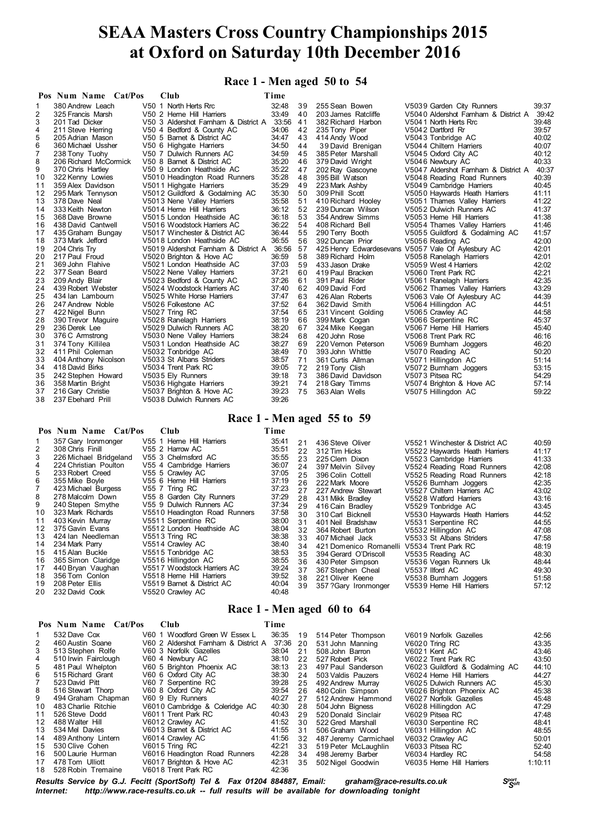### **Race 1 - Men aged 50 to 54**

|    | Pos Num Name Cat/Pos  | Club                                 | Time  |    |                     |                                                    |       |
|----|-----------------------|--------------------------------------|-------|----|---------------------|----------------------------------------------------|-------|
| 1. | 380 Andrew Leach      | V50 1 North Herts Rrc                | 32:48 | 39 | 255 Sean Bowen      | V5039 Garden City Runners                          | 39:37 |
| 2  | 325 Francis Marsh     | V50 2 Heme Hill Harriers             | 33:49 | 40 | 203 James Ratcliffe | V5040 Aldershot Famham & District A                | 39:42 |
| 3  | 201 Tad Dicker        | V50 3 Aldershot Farnham & District A | 33:56 | 41 | 382 Richard Harbon  | V5041 North Herts Rrc                              | 39:48 |
| 4  | 211 Steve Herring     | V50 4 Bedford & County AC            | 34:06 | 42 | 235 Tony Piper      | V5042 Dartford Rr                                  | 39:57 |
| 5  | 205 Adrian Mason      | V50 5 Barnet & District AC           | 34:47 | 43 | 414 Andy Wood       | V5043 Tonbridge AC                                 | 40:02 |
| 6  | 360 Michael Ussher    | V50 6 Highgate Harriers              | 34:50 | 44 | 39 David Brenigan   | V5044 Chiltern Harriers                            | 40:07 |
|    | 238 Tony Tuohy        | V50 7 Dulwich Runners AC             | 34:59 | 45 | 385 Peter Marshall  | V5045 Oxford City AC                               | 40:12 |
| 8  | 206 Richard McCormick | V50 8 Barnet & District AC           | 35:20 | 46 | 379 David Wright    | V5046 Newbury AC                                   | 40:33 |
| 9  | 370 Chris Hartley     | V50 9 London Heathside AC            | 35:22 | 47 | 202 Ray Gascoyne    | V5047 Aldershot Famham & District A                | 40:37 |
| 10 | 322 Kenny Lowies      | V5010 Headington Road Runners        | 35:28 | 48 | 395 Bill Watson     | V5048 Reading Road Runners                         | 40:39 |
| 11 | 359 Alex Davidson     | V5011 Highgate Harriers              | 35:29 | 49 | 223 Mark Ashby      | V5049 Cambridge Harriers                           | 40:45 |
| 12 | 295 Mark Tennyson     | V5012 Guildford & Godalming AC       | 35:30 | 50 | 309 Phill Scott     | V5050 Haywards Heath Harriers                      | 41:11 |
| 13 | 378 Dave Neal         | V5013 Nene Valley Harriers           | 35:58 | 51 | 410 Richard Hooley  | V5051 Thames Valley Harriers                       | 41:22 |
| 14 | 333 Keith Newton      | V5014 Heme Hill Harriers             | 36:12 | 52 | 239 Duncan Wilson   | V5052 Dulwich Runners AC                           | 41:37 |
| 15 | 368 Dave Browne       | V5015 London Heathside AC            | 36:18 | 53 | 354 Andrew Simms    | V5053 Herne Hill Harriers                          | 41:38 |
| 16 | 438 David Cantwell    | V5016 Woodstock Harriers AC          | 36:22 | 54 | 408 Richard Bell    | V5054 Thames Valley Harriers                       | 41:46 |
| 17 | 435 Graham Bungay     | V5017 Winchester & District AC       | 36:44 | 55 | 290 Terry Booth     | V5055 Guildford & Godalming AC                     | 41:57 |
| 18 | 373 Mark Jefford      | V5018 London Heathside AC            | 36:55 | 56 | 392 Duncan Prior    | V5056 Reading AC                                   | 42:00 |
| 19 | 204 Chris Try         | V5019 Aldershot Farnham & District A | 36:56 | 57 |                     | 425 Henry Edwardesevans V5057 Vale Of Aylesbury AC | 42:01 |
| 20 | 217 Paul Froud        | V5020 Brighton & Hove AC             | 36:59 | 58 | 389 Richard Holm    | V5058 Ranelagh Harriers                            | 42:01 |
| 21 | 369 John Flahive      | V5021 London Heathside AC            | 37:03 | 59 | 433 Jason Drake     | V5059 West 4 Harriers                              | 42:02 |
| 22 | 377 Sean Beard        | V5022 Nene Valley Harriers           | 37:21 | 60 | 419 Paul Bracken    | V5060 Trent Park RC                                | 42:21 |
| 23 | 209 Andy Blair        | V5023 Bedford & County AC            | 37:26 | 61 | 391 Paul Rider      | V5061 Ranelagh Harriers                            | 42:35 |
| 24 | 439 Robert Webster    | V5024 Woodstock Harriers AC          | 37:40 | 62 | 409 David Ford      | V5062 Thames Valley Harriers                       | 43:29 |
| 25 | 434 Ian Lambourn      | V5025 White Horse Harriers           | 37:47 | 63 | 426 Alan Roberts    | V5063 Vale Of Aylesbury AC                         | 44:39 |
| 26 | 247 Andrew Noble      | V5026 Folkestone AC                  | 37:52 | 64 | 362 David Smith     | V5064 Hillingdon AC                                | 44:51 |
| 27 | 422 Nigel Bunn        | V5027 Tring RC                       | 37:54 | 65 | 231 Vincent Golding | V5065 Crawley AC                                   | 44:58 |
| 28 | 390 Trevor Maguire    | V5028 Ranelagh Harriers              | 38:19 | 66 | 399 Mark Cogan      | V5066 Serpentine RC                                | 45:37 |
| 29 | 236 Derek Lee         | V5029 Dulwich Runners AC             | 38:20 | 67 | 324 Mike Keegan     | V5067 Herne Hill Harriers                          | 45:40 |
| 30 | 376 C Armstrong       | V5030 Nene Valley Harriers           | 38:24 | 68 | 420 John Rose       | V5068 Trent Park RC                                | 46:16 |
| 31 | 374 Tony Killilea     | V5031 London Heathside AC            | 38:27 | 69 | 220 Vernon Peterson | V5069 Bumham Joggers                               | 46:20 |
| 32 | 411 Phil Coleman      | V5032 Tonbridge AC                   | 38:49 | 70 | 393 John Whittle    | V5070 Reading AC                                   | 50:20 |
| 33 | 404 Anthony Nicolson  | V5033 St Albans Striders             | 38:57 | 71 | 361 Curtis Allman   | V5071 Hillingdon AC                                | 51:14 |
| 34 | 418 David Birks       | V5034 Trent Park RC                  | 39:05 | 72 | 219 Tony Clish      | V5072 Bumham Joggers                               | 53:15 |
| 35 | 242 Stephen Howard    | V5035 Ely Runners                    | 39:18 | 73 | 386 David Davidson  | V5073 Pitsea RC                                    | 54:29 |
| 36 | 358 Martin Bright     | V5036 Highgate Harriers              | 39:21 | 74 | 218 Gary Timms      | V5074 Brighton & Hove AC                           | 57:14 |
| 37 | 216 Gary Christie     | V5037 Brighton & Hove AC             | 39:23 | 75 | 363 Alan Wells      | V5075 Hillingdon AC                                | 59:22 |
| 38 | 237 Ebehard Prill     | V5038 Dulwich Runners AC             | 39:26 |    |                     |                                                    |       |

### **Race 1 - Men aged 55 to 59**

|                                                                                              | Pos Num Name Cat/Pos                                                                                                                                                                                                                                                                                                                                                                                                     | <b>Club</b>                                                                                                                                                                                                                                                                                                                                                                                                                                                                                                    | Time                                                                                                                                                                             |                                                                                                                |                                                                                                                                                                                                                                                                                                                                                                                                           |                                                                                                                                                                                                                                                                                                                                                                                                                                                                                                                       |                                                                                                                                                                         |
|----------------------------------------------------------------------------------------------|--------------------------------------------------------------------------------------------------------------------------------------------------------------------------------------------------------------------------------------------------------------------------------------------------------------------------------------------------------------------------------------------------------------------------|----------------------------------------------------------------------------------------------------------------------------------------------------------------------------------------------------------------------------------------------------------------------------------------------------------------------------------------------------------------------------------------------------------------------------------------------------------------------------------------------------------------|----------------------------------------------------------------------------------------------------------------------------------------------------------------------------------|----------------------------------------------------------------------------------------------------------------|-----------------------------------------------------------------------------------------------------------------------------------------------------------------------------------------------------------------------------------------------------------------------------------------------------------------------------------------------------------------------------------------------------------|-----------------------------------------------------------------------------------------------------------------------------------------------------------------------------------------------------------------------------------------------------------------------------------------------------------------------------------------------------------------------------------------------------------------------------------------------------------------------------------------------------------------------|-------------------------------------------------------------------------------------------------------------------------------------------------------------------------|
| 3<br>4<br>5<br>6<br>8<br>9<br>10<br>11<br>12<br>13<br>14<br>15<br>16<br>17<br>18<br>19<br>20 | 357 Gary Ironmonger<br>308 Chris Finill<br>226 Michael Bridgeland<br>224 Christian Poulton<br>233 Robert Creed<br>355 Mike Boyle<br>423 Michael Burgess<br>278 Malcolm Down<br>240 Stepen Smythe<br>323 Mark Richards<br>403 Kevin Murray<br>375 Gavin Evans<br>424 Ian Needleman<br>234 Mark Parry<br>415 Alan Buckle<br>365 Simon Claridge<br>440 Bryan Vaughan<br>356 Tom Conlon<br>208 Peter Ellis<br>232 David Cook | V55 1 Heme Hill Harriers<br>V55 2 Harrow AC<br>V55 3 Chelmsford AC<br>V55 4 Cambridge Harriers<br>V55 5 Crawley AC<br>V55 6 Heme Hill Harriers<br>V55 7 Tring RC<br>V55 8 Garden City Runners<br>V55 9 Dulwich Runners AC<br>V5510 Headington Road Runners<br>V5511 Serpentine RC<br>V5512 London Heathside AC<br>V5513 Trina RC<br>V5514 Crawley AC<br>V5515 Tonbridge AC<br>V5516 Hillingdon AC<br>V5517 Woodstock Harriers AC<br>V5518 Heme Hill Harriers<br>V5519 Barnet & District AC<br>V5520 Crawley AC | 35:41<br>35:51<br>35:55<br>36:07<br>37:05<br>37:19<br>37:23<br>37:29<br>37:34<br>37:58<br>38:00<br>38:04<br>38:38<br>38:40<br>38:53<br>38:55<br>39:24<br>39:52<br>40:04<br>40:48 | 21<br>22<br>23<br>24<br>25<br>26<br>27<br>28<br>29<br>30<br>31<br>32<br>33<br>34<br>35<br>36<br>37<br>38<br>39 | 436 Steve Oliver<br>312 Tim Hicks<br>225 Clem Dixon<br>397 Melvin Silvev<br>396 Colin Cottell<br>222 Mark Moore<br>227 Andrew Stewart<br>431 Mikk Bradlev<br>416 Cain Bradlev<br>310 Carl Bicknell<br>401 Neil Bradshaw<br>364 Robert Burton<br>407 Michael Jack<br>421 Domenico Romanelli<br>394 Gerard O'Driscoll<br>430 Peter Simpson<br>367 Stephen Cheal<br>221 Oliver Keene<br>357 ?Gary Ironmonger | V5521 Winchester & District AC<br>V5522 Haywards Heath Harriers<br>V5523 Cambridge Harriers<br>V5524 Reading Road Runners<br>V5525 Reading Road Runners<br>V5526 Bumham Joggers<br>V5527 Chiltern Harriers AC<br>V5528 Watford Harriers<br>V5529 Tonbridge AC<br>V5530 Haywards Heath Harriers<br>V5531 Serpentine RC<br>V5532 Hillingdon AC<br>V5533 St Albans Striders<br>V5534 Trent Park RC<br>V5535 Reading AC<br>V5536 Vegan Runners Uk<br>V5537 Ilford AC<br>V5538 Bumham Joggers<br>V5539 Herne Hill Harriers | 40:59<br>41:17<br>41:33<br>42:08<br>42:18<br>42:35<br>43:02<br>43:16<br>43:45<br>44:52<br>44:55<br>47:08<br>47:58<br>48:19<br>48:30<br>48:44<br>49:30<br>51:58<br>57:12 |
|                                                                                              |                                                                                                                                                                                                                                                                                                                                                                                                                          |                                                                                                                                                                                                                                                                                                                                                                                                                                                                                                                |                                                                                                                                                                                  |                                                                                                                |                                                                                                                                                                                                                                                                                                                                                                                                           |                                                                                                                                                                                                                                                                                                                                                                                                                                                                                                                       |                                                                                                                                                                         |

### **Race 1 - Men aged 60 to 64**

|                 | Pos Num Name Cat/Pos  | Club                                 | Time     |    |                       |                                |         |
|-----------------|-----------------------|--------------------------------------|----------|----|-----------------------|--------------------------------|---------|
|                 | 532 Dave Cox          | V60 1 Woodford Green W Essex L       | 36:35    | 19 | 514 Peter Thompson    | V6019 Norfolk Gazelles         | 42:56   |
| 2               | 460 Austin Soane      | V60 2 Aldershot Farnham & District A | 37:36 20 |    | 531 John Manning      | V6020 Tring RC                 | 43:35   |
| 3               | 513 Stephen Rolfe     | V60 3 Norfolk Gazelles               | 38:04    | 21 | 508 John Barron       | V6021 Kent AC                  | 43:46   |
| 4               | 510 Irwin Fairclough  | V60 4 Newbury AC                     | 38:10    | 22 | 527 Robert Pick       | V6022 Trent Park RC            | 43:50   |
| 5               | 481 Paul Whelpton     | V60 5 Brighton Phoenix AC            | 38:13    | 23 | 497 Paul Sanderson    | V6023 Guildford & Godalming AC | 44:10   |
| 6               | 515 Richard Grant     | V60 6 Oxford City AC                 | 38:30    | 24 | 503 Valdis Pauzers    | V6024 Herne Hill Harriers      | 44:27   |
|                 | 523 David Pitt        | V60 7 Serpentine RC                  | 39:28    | 25 | 492 Andrew Murray     | V6025 Dulwich Runners AC       | 45:30   |
| 8               | 516 Stewart Thorp     | V60 8 Oxford City AC                 | 39:54    | 26 | 480 Colin Simpson     | V6026 Brighton Phoenix AC      | 45:38   |
| 9               | 494 Graham Chapman    | V60 9 Ely Runners                    | 40:27    | 27 | 512 Andrew Hammond    | V6027 Norfolk Gazelles         | 45:48   |
| 10              | 483 Charlie Ritchie   | V6010 Cambridge & Coleridge AC       | 40:30    | 28 | 504 John Bianess      | V6028 Hillingdon AC            | 47:29   |
| 11              | 526 Steve Dodd        | V6011 Trent Park RC                  | 40:43    | 29 | 520 Donald Sinclair   | V6029 Pitsea RC                | 47:48   |
| 12 <sup>1</sup> | 488 Walter Hill       | V6012 Crawley AC                     | 41:52    | 30 | 522 Gred Marshall     | V6030 Serpentine RC            | 48:41   |
| 13              | 534 Mel Davies        | V6013 Barnet & District AC           | 41:55    | 31 | 506 Graham Wood       | V6031 Hillingdon AC            | 48:55   |
| 14              | 489 Anthony Lintern   | V6014 Crawley AC                     | 41:56    | 32 | 487 Jeremy Carmichael | V6032 Crawley AC               | 50:01   |
| 15              | 530 Clive Cohen       | V6015 Tring RC                       | 42:21    | 33 | 519 Peter McLaughlin  | V6033 Pitsea RC                | 52:40   |
| 16.             | 500 Laurie Hurman     | V6016 Headington Road Runners        | 42:28    | 34 | 498 Jeremy Barber     | V6034 Hardley RC               | 54:58   |
| 17              | 478 Tom Ulliott       | V6017 Brighton & Hove AC             | 42:31    | 35 | 502 Nigel Goodwin     | V6035 Herne Hill Harriers      | 1:10:11 |
|                 | 18 528 Robin Tremaine | V6018 Trent Park RC                  | 42:36    |    |                       |                                |         |

*<sup>S</sup>port Results Service by G.J. Fecitt (SportSoft) Tel & Fax 01204 884887, Email: graham@race-results.co.uk <sup>S</sup>oft* http://www.race-results.co.uk -- full results will be available for downloading tonight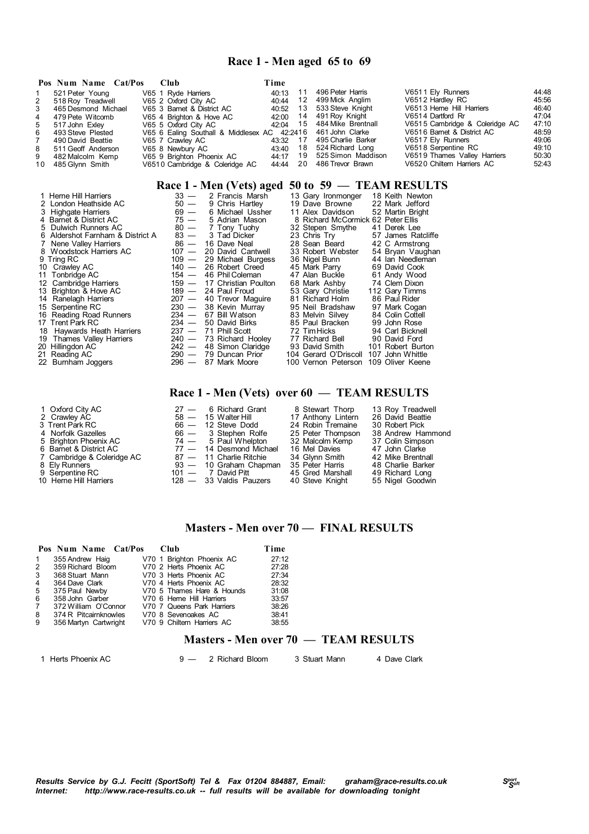### **Race 1 - Men aged 65 to 69**

|    | Pos Num Name Cat/Pos | - Club                                       | Time     |                             |                                |       |
|----|----------------------|----------------------------------------------|----------|-----------------------------|--------------------------------|-------|
|    | 521 Peter Young      | V65 1 Ryde Harriers                          | 40:13    | 496 Peter Harris            | V6511 Ely Runners              | 44:48 |
| 2  | 518 Roy Treadwell    | V65 2 Oxford City AC                         | 40:44    | 12 499 Mick Anglim          | V6512 Hardley RC               | 45:56 |
| 3  | 465 Desmond Michael  | V65 3 Barnet & District AC                   | 40:52 13 | 533 Steve Knight            | V6513 Herne Hill Harriers      | 46:40 |
| 4  | 479 Pete Witcomb     | V65 4 Brighton & Hove AC                     |          | 42:00 14 491 Roy Knight     | V6514 Dartford Rr              | 47:04 |
| 5  | 517 John Exley       | V65 5 Oxford City AC                         |          | 42:04 15 484 Mike Brentnall | V6515 Cambridge & Coleridge AC | 47:10 |
| 6  | 493 Steve Plested    | V65 6 Ealing Southall & Middlesex AC 42:2416 |          | 461 John Clarke             | V6516 Barnet & District AC     | 48:59 |
|    | 490 David Beattie    | V65 7 Crawley AC                             | 43:32 17 | 495 Charlie Barker          | V6517 Ely Runners              | 49:06 |
| 8  | 511 Geoff Anderson   | V65 8 Newbury AC                             |          | 43:40 18 524 Richard Long   | V6518 Serpentine RC            | 49:10 |
| 9  | 482 Malcolm Kemp     | V65 9 Brighton Phoenix AC                    |          | 44:17 19 525 Simon Maddison | V6519 Thames Valley Harriers   | 50:30 |
| 10 | 485 Glvnn Smith      | V6510 Cambridge & Coleridge AC               | 44:44 20 | 486 Trevor Brawn            | V6520 Chiltern Harriers AC     | 52:43 |

### **Race 1 - Men (Vets) aged 50 to 59 — TEAM RESULTS**

| 1 Herne Hill Harriers            | $33 -$  | 2 Francis Marsh            | 13 Gary Ironmonger                 | 18 Keith Newton    |
|----------------------------------|---------|----------------------------|------------------------------------|--------------------|
| 2 London Heathside AC            | $50 -$  | 9 Chris Hartley            | 19 Dave Browne                     | 22 Mark Jefford    |
| 3 Highgate Harriers              | $69 -$  | 6 Michael Ussher           | 11 Alex Davidson                   | 52 Martin Bright   |
| 4 Barnet & District AC           | $75 -$  | 5 Adrian Mason             | 8 Richard McCormick 62 Peter Ellis |                    |
| 5 Dulwich Runners AC             | $80 -$  | 7 Tony Tuohy               | 32 Stepen Smythe                   | 41 Derek Lee       |
| 6 Aldershot Farnham & District A | $83 -$  | 3 Tad Dicker               | 23 Chris Try                       | 57 James Ratcliffe |
| Nene Valley Harriers             | $86 -$  | 16 Dave Neal               | 28 Sean Beard                      | 42 C Armstrong     |
| 8 Woodstock Harriers AC          | 107 —   | 20 David Cantwell          | 33 Robert Webster                  | 54 Bryan Vaughan   |
| 9 Tring RC                       | 109 —   | 29 Michael Burgess         | 36 Nigel Bunn                      | 44 Ian Needleman   |
| 10 Crawley AC                    | 140 —   | 26 Robert Creed            | 45 Mark Parry                      | 69 David Cook      |
| 11 Tonbridge AC                  |         | 154 - 46 Phil Coleman      | 47 Alan Buckle                     | 61 Andy Wood       |
| 12 Cambridge Harriers            |         | 159 - 17 Christian Poulton | 68 Mark Ashby                      | 74 Clem Dixon      |
| 13 Brighton & Hove AC            |         | 189 - 24 Paul Froud        | 53 Gary Christie                   | 112 Gary Timms     |
| 14 Ranelagh Harriers             |         | 207 - 40 Trevor Maquire    | 81 Richard Holm                    | 86 Paul Rider      |
| 15 Serpentine RC                 |         | 230 - 38 Kevin Murray      | 95 Neil Bradshaw                   | 97 Mark Cogan      |
| 16 Reading Road Runners          |         | $234 - 67$ Bill Watson     | 83 Melvin Silvey                   | 84 Colin Cottell   |
| 17 Trent Park RC                 |         | $234 - 50$ David Birks     | 85 Paul Bracken                    | 99 John Rose       |
| 18 Haywards Heath Harriers       |         | $237 - 71$ Phill Scott     | 72 Tim Hicks                       | 94 Carl Bicknell   |
| 19 Thames Valley Harriers        |         | 240 - 73 Richard Hooley    | 77 Richard Bell                    | 90 David Ford      |
| 20 Hillingdon AC                 |         | $242 - 48$ Simon Claridge  | 93 David Smith                     | 101 Robert Burton  |
| 21 Reading AC                    | $290 -$ | 79 Duncan Prior            | 104 Gerard O'Driscoll              | 107 John Whittle   |
| 22 Burnham Joggers               |         | 296 - 87 Mark Moore        | 100 Vernon Peterson                | 109 Oliver Keene   |

### **Race 1 - Men (Vets) over 60 — TEAM RESULTS**

| 1 Oxford City AC           | $27 - 6$ Richard Grant    | 8 Stewart Thorp    | 13 Roy Treadwell  |
|----------------------------|---------------------------|--------------------|-------------------|
| 2 Crawley AC               | $58 - 15$ Walter Hill     | 17 Anthony Lintern | 26 David Beattie  |
| 3 Trent Park RC            | $66 - 12$ Steve Dodd      | 24 Robin Tremaine  | 30 Robert Pick    |
| 4 Norfolk Gazelles         | 66 — 3 Stephen Rolfe      | 25 Peter Thompson  | 38 Andrew Hammond |
| 5 Brighton Phoenix AC      | 74 — 5 Paul Whelpton      | 32 Malcolm Kemp    | 37 Colin Simpson  |
| 6 Barnet & District AC     | 77 - 14 Desmond Michael   | 16 Mel Davies      | 47 John Clarke    |
| 7 Cambridge & Coleridge AC | 87 - 11 Charlie Ritchie   | 34 Glynn Smith     | 42 Mike Brentnall |
| 8 Ely Runners              | 93 - 10 Graham Chapman    | 35 Peter Harris    | 48 Charlie Barker |
| 9 Serpentine RC            | 101 — 7 David Pitt        | 45 Gred Marshall   | 49 Richard Long   |
| 10 Herne Hill Harriers     | $128 - 33$ Valdis Pauzers | 40 Steve Knight    | 55 Nigel Goodwin  |
|                            |                           |                    |                   |

### **Masters - Men over 70 — FINAL RESULTS**

|                       |                 |                      | Time                                                                                                                                                                                                                                                            |
|-----------------------|-----------------|----------------------|-----------------------------------------------------------------------------------------------------------------------------------------------------------------------------------------------------------------------------------------------------------------|
| 355 Andrew Haig       |                 |                      | 27:12                                                                                                                                                                                                                                                           |
| 359 Richard Bloom     |                 |                      | 27:28                                                                                                                                                                                                                                                           |
| 368 Stuart Mann       |                 |                      | 27:34                                                                                                                                                                                                                                                           |
| 364 Dave Clark        |                 |                      | 28:32                                                                                                                                                                                                                                                           |
| 375 Paul Newby        |                 |                      | 31:08                                                                                                                                                                                                                                                           |
|                       |                 |                      | 33:57                                                                                                                                                                                                                                                           |
| 372 William O'Connor  |                 |                      | 38:26                                                                                                                                                                                                                                                           |
| 374 R Pitcairnknowles |                 |                      | 38:41                                                                                                                                                                                                                                                           |
| 356 Martyn Cartwright |                 |                      | 38:55                                                                                                                                                                                                                                                           |
|                       | 358 John Garber | Pos Num Name Cat/Pos | $Cl$ ub<br>V70 1 Brighton Phoenix AC<br>V70 2 Herts Phoenix AC<br>V70 3 Herts Phoenix AC<br>V70 4 Herts Phoenix AC<br>V70 5 Thames Hare & Hounds<br>V70 6 Heme Hill Harriers<br>V70 7 Queens Park Harriers<br>V70 8 Sevenoakes AC<br>V70 9 Chiltern Harriers AC |

### **Masters - Men over 70 — TEAM RESULTS**

1 Herts Phoenix AC 9 — 2 Richard Bloom 3 Stuart Mann 4 Dave Clark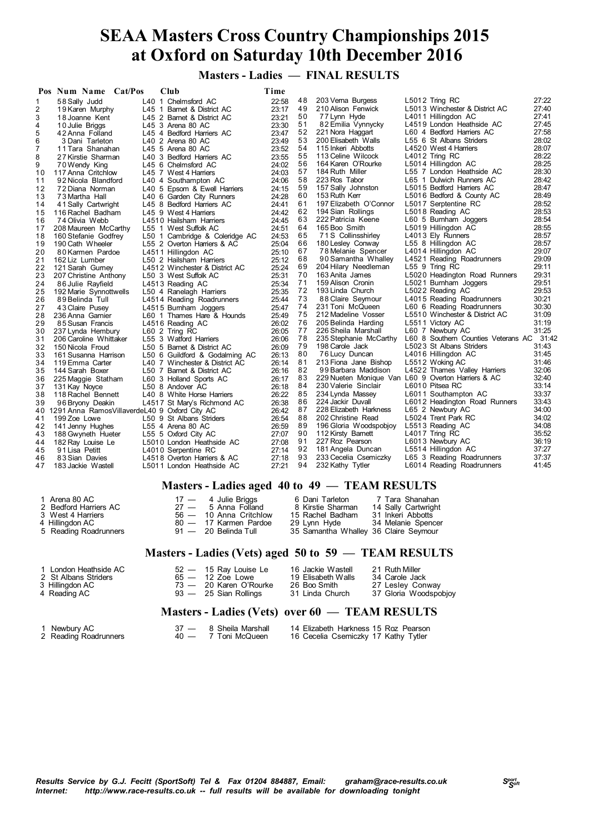**Masters - Ladies — FINAL RESULTS**

| 27:22<br>L5012 Tring RC<br>48<br>203 Verna Burgess<br>L40 1 Chelmsford AC<br>22:58<br>$\mathbf{1}$<br>58 Sally Judd<br>27:40<br>49<br>210 Alison Fenwick<br>L5013 Winchester & District AC<br>2<br>23:17<br>19 Karen Murphy<br>L45 1 Barnet & District AC<br>27:41<br>50<br>77 Lynn Hyde<br>L4011 Hillingdon AC<br>3<br>23:21<br>18 Joanne Kent<br>L45 2 Barnet & District AC<br>51<br>27:45<br>L4519 London Heathside AC<br>82 Emilia Vynnycky<br>23:30<br>10 Julie Briggs<br>L45 3 Arena 80 AC<br>4<br>27:58<br>52<br>L60 4 Bedford Harriers AC<br>221 Nora Haggart<br>5<br>23:47<br>42 Anna Folland<br>L45 4 Bedford Harriers AC<br>53<br>28:02<br>L55 6 St Albans Striders<br>200 Elisabeth Walls<br>23:49<br>6<br>3 Dani Tarleton<br>L40 2 Arena 80 AC<br>28:07<br>54<br>115 Inkeri Abbotts<br>L4520 West 4 Harriers<br>23:52<br>7<br>L45 5 Arena 80 AC<br>11 Tara Shanahan<br>55<br>28:22<br>113 Celine Wilcock<br>L4012 Tring RC<br>8<br>23:55<br>27 Kirstie Sharman<br>L40 3 Bedford Harriers AC<br>28:25<br>56<br>164 Karen O'Rourke<br>L5014 Hillingdon AC<br>24:02<br>9<br>L45 6 Chelmsford AC<br>70 Wendy King<br>28:30<br>57<br>L55 7 London Heathside AC<br>184 Ruth Miller<br>24:03<br>10<br>117 Anna Critchlow<br>L45 7 West 4 Harriers<br>28:42<br>58<br>223 Ros Tabor<br>L65 1 Dulwich Runners AC<br>24:06<br>92 Nicola Blandford<br>11<br>L40 4 Southampton AC<br>59<br>28:47<br>157 Sally Johnston<br>L5015 Bedford Harriers AC<br>24:15<br>12<br>72 Diana Norman<br>L40 5 Epsom & Ewell Harriers<br>28:49<br>60<br>L5016 Bedford & County AC<br>153 Ruth Kerr<br>24:28<br>13<br>73 Martha Hall<br>L40 6 Garden City Runners<br>61<br>28:52<br>197 Elizabeth O'Connor<br>L5017 Serptentine RC<br>24:41<br>14<br>41 Sally Cartwright<br>L45 8 Bedford Harriers AC<br>62<br>28:53<br>194 Sian Rollings<br>L5018 Reading AC<br>L45 9 West 4 Harriers<br>24:42<br>15<br>116 Rachel Badham<br>28:54<br>63<br>222 Patricia Keene<br>L60 5 Bumham Joggers<br>24:45<br>16<br>74 Olivia Webb<br>L4510 Hailsham Harriers<br>28:55<br>64<br>165 Boo Smith<br>L5019 Hillingdon AC<br>24:51<br>17<br>208 Maureen McCarthy<br>L55 1 West Suffolk AC<br>28:57<br>65<br>L4013 Ely Runners<br>71S Collinsshirley<br>24:53<br>18<br>160 Stefanie Godfrey<br>L50 1 Cambridge & Coleridge AC<br>66<br>28:57<br>180 Lesley Conway<br>L55 8 Hillingdon AC<br>25:04<br>19<br>190 Cath Wheeler<br>L55 2 Overton Harriers & AC<br>29:07<br>67<br>L4014 Hillingdon AC<br>25:10<br>78 Melanie Spencer<br>20<br>80 Karmen Pardoe<br>L4511 Hillingdon AC<br>68<br>29:09<br>L4521 Reading Roadrunners<br>90 Samantha Whalley<br>21<br>25:12<br>162 Liz Lumber<br>L50 2 Hailsham Harriers<br>29:11<br>69<br>204 Hilary Needleman<br>$L55$ 9 Tring RC<br>22<br>25:24<br>121 Sarah Gurney<br>L4512 Winchester & District AC<br>29:31<br>70<br>163 Anita James<br>L5020 Headington Road Runners<br>25:31<br>23<br>L50 3 West Suffolk AC<br>207 Christine Anthony<br>29:51<br>71<br>159 Alison Cronin<br>L5021 Bumham Joggers<br>25:34<br>24<br>86 Julie Rayfield<br>L4513 Reading AC<br>29:53<br>72<br>193 Linda Church<br>L5022 Reading AC<br>25:35<br>25<br>192 Marie Synnottwells<br>L50 4 Ranelagh Harriers<br>30:21<br>73<br>88 Claire Seymour<br>L4015 Reading Roadrunners<br>26<br>25:44<br>89 Belinda Tull<br>L4514 Reading Roadrunners<br>30:30<br>74<br>231 Toni McQueen<br>L60 6 Reading Roadrunners<br>25:47<br>27<br>43 Claire Pusey<br>L4515 Burnham Joggers<br>75<br>31:09<br>212 Madeline Vosser<br>L5510 Winchester & District AC<br>28<br>25:49<br>236 Anna Gamier<br>L60 1 Thames Hare & Hounds<br>31:19<br>26:02<br>76<br>205 Belinda Harding<br>L5511 Victory AC<br>29<br>85 Susan Francis<br>L4516 Reading AC<br>31:25<br>77<br>226 Sheila Marshall<br>L60 7 Newbury AC<br>26:05<br>30<br>237 Lynda Hembury<br>L60 2 Tring RC<br>L60 8 Southern Counties Veterans AC 31:42<br>78<br>235 Stephanie McCarthy<br>26:06<br>31<br>206 Caroline Whittaker<br>L55 3 Watford Harriers<br>79<br>L5023 St Albans Striders<br>31:43<br>198 Carole Jack<br>32<br>26:09<br>150 Nicola Froud<br>L50 5 Barnet & District AC<br>31:45<br>80<br>L4016 Hillingdon AC<br>76 Lucy Duncan<br>26:13<br>33<br>161 Susanna Harrison<br>L50 6 Guildford & Godalming AC<br>81<br>31:46<br>213 Fiona Jane Bishop<br>L5512 Woking AC<br>26:14<br>34<br>119 Emma Carter<br>L40 7 Winchester & District AC<br>32:06<br>82<br>L4522 Thames Valley Harriers<br>99 Barbara Maddison<br>35<br>26:16<br>144 Sarah Boxer<br>L50 7 Barnet & District AC<br>83<br>32:40<br>229 Nueten Monique Van L60 9 Overton Harriers & AC<br>26:17<br>36<br>L60 3 Holland Sports AC<br>225 Maggie Statham<br>33:14<br>84<br>230 Valerie Sinclair<br>L6010 Pitsea RC<br>26:18<br>37<br>L50 8 Andover AC<br>131 Kay Noyce<br>33:37<br>85<br>26:22<br>234 Lynda Massey<br>L6011 Southampton AC<br>38<br>118 Rachel Bennett<br>L40 8 White Horse Harriers<br>33:43<br>86<br>224 Jackir Duvall<br>L6012 Headington Road Runners<br>26:38<br>39<br>96 Bryony Deakin<br>L4517 St Mary's Richmond AC<br>34:00<br>87<br>228 Elizabeth Harkness<br>L65 2 Newbury AC<br>26:42<br>40 1291 Anna Ramos Villaverde L40 9 Oxford City AC<br>34:02<br>88<br>L5024 Trent Park RC<br>202 Christine Read<br>199 Zoe Lowe<br>26:54<br>41<br>L50 9 St Albans Striders<br>34:08<br>89<br>L5513 Reading AC<br>196 Gloria Woodspobjoy<br>26:59<br>42<br>L55 4 Arena 80 AC<br>141 Jenny Hughes<br>35:52<br>90<br>112 Kirsty Barnett<br>L4017 Tring RC<br>27:07<br>L55 5 Oxford City AC<br>43<br>188 Gwyneth Hueter<br>91<br>227 Roz Pearson<br>L6013 Newbury AC<br>36:19<br>27:08<br>182 Ray Louise Le<br>L5010 London Heathside AC<br>44<br>92<br>37:27<br>181 Angela Duncan<br>L5514 Hillingdon AC<br>27:14<br>45<br>91 Lisa Petitt<br>L4010 Serpentine RC<br>37:37<br>93<br>233 Cecelia Csemiczky<br>L65 3 Reading Roadrunners<br>27:18<br>46<br>83 Sian Davies<br>L4518 Overton Harriers & AC<br>94<br>41:45<br>232 Kathy Tytler<br>L6014 Reading Roadrunners<br>27:21<br>47<br>183 Jackie Wastell<br>L5011 London Heathside AC | Pos Num Name Cat/Pos |  | Club | Time |  |  |  |
|-----------------------------------------------------------------------------------------------------------------------------------------------------------------------------------------------------------------------------------------------------------------------------------------------------------------------------------------------------------------------------------------------------------------------------------------------------------------------------------------------------------------------------------------------------------------------------------------------------------------------------------------------------------------------------------------------------------------------------------------------------------------------------------------------------------------------------------------------------------------------------------------------------------------------------------------------------------------------------------------------------------------------------------------------------------------------------------------------------------------------------------------------------------------------------------------------------------------------------------------------------------------------------------------------------------------------------------------------------------------------------------------------------------------------------------------------------------------------------------------------------------------------------------------------------------------------------------------------------------------------------------------------------------------------------------------------------------------------------------------------------------------------------------------------------------------------------------------------------------------------------------------------------------------------------------------------------------------------------------------------------------------------------------------------------------------------------------------------------------------------------------------------------------------------------------------------------------------------------------------------------------------------------------------------------------------------------------------------------------------------------------------------------------------------------------------------------------------------------------------------------------------------------------------------------------------------------------------------------------------------------------------------------------------------------------------------------------------------------------------------------------------------------------------------------------------------------------------------------------------------------------------------------------------------------------------------------------------------------------------------------------------------------------------------------------------------------------------------------------------------------------------------------------------------------------------------------------------------------------------------------------------------------------------------------------------------------------------------------------------------------------------------------------------------------------------------------------------------------------------------------------------------------------------------------------------------------------------------------------------------------------------------------------------------------------------------------------------------------------------------------------------------------------------------------------------------------------------------------------------------------------------------------------------------------------------------------------------------------------------------------------------------------------------------------------------------------------------------------------------------------------------------------------------------------------------------------------------------------------------------------------------------------------------------------------------------------------------------------------------------------------------------------------------------------------------------------------------------------------------------------------------------------------------------------------------------------------------------------------------------------------------------------------------------------------------------------------------------------------------------------------------------------------------------------------------------------------------------------------------------------------------------------------------------------------------------------------------------------------------------------------------------------------------------------------------------------------------------------------------------------------------------------------------------------------------------------------------------------------------------------------------------------------------------------------------------------------------------------------------------------------------------------------------------------------------------------------------------------------------------------------------------------------------------------------------------------------------------------------------------------------------------------------------------------------------------------------------------------------------------------------------------------------------------------------------------------------------------------------------------------------------------------------------------------------------------------------------------------------------------------------------------------------------------------------------|----------------------|--|------|------|--|--|--|
|                                                                                                                                                                                                                                                                                                                                                                                                                                                                                                                                                                                                                                                                                                                                                                                                                                                                                                                                                                                                                                                                                                                                                                                                                                                                                                                                                                                                                                                                                                                                                                                                                                                                                                                                                                                                                                                                                                                                                                                                                                                                                                                                                                                                                                                                                                                                                                                                                                                                                                                                                                                                                                                                                                                                                                                                                                                                                                                                                                                                                                                                                                                                                                                                                                                                                                                                                                                                                                                                                                                                                                                                                                                                                                                                                                                                                                                                                                                                                                                                                                                                                                                                                                                                                                                                                                                                                                                                                                                                                                                                                                                                                                                                                                                                                                                                                                                                                                                                                                                                                                                                                                                                                                                                                                                                                                                                                                                                                                                                                                                                                                                                                                                                                                                                                                                                                                                                                                                                                                                                                                                                 |                      |  |      |      |  |  |  |
|                                                                                                                                                                                                                                                                                                                                                                                                                                                                                                                                                                                                                                                                                                                                                                                                                                                                                                                                                                                                                                                                                                                                                                                                                                                                                                                                                                                                                                                                                                                                                                                                                                                                                                                                                                                                                                                                                                                                                                                                                                                                                                                                                                                                                                                                                                                                                                                                                                                                                                                                                                                                                                                                                                                                                                                                                                                                                                                                                                                                                                                                                                                                                                                                                                                                                                                                                                                                                                                                                                                                                                                                                                                                                                                                                                                                                                                                                                                                                                                                                                                                                                                                                                                                                                                                                                                                                                                                                                                                                                                                                                                                                                                                                                                                                                                                                                                                                                                                                                                                                                                                                                                                                                                                                                                                                                                                                                                                                                                                                                                                                                                                                                                                                                                                                                                                                                                                                                                                                                                                                                                                 |                      |  |      |      |  |  |  |
|                                                                                                                                                                                                                                                                                                                                                                                                                                                                                                                                                                                                                                                                                                                                                                                                                                                                                                                                                                                                                                                                                                                                                                                                                                                                                                                                                                                                                                                                                                                                                                                                                                                                                                                                                                                                                                                                                                                                                                                                                                                                                                                                                                                                                                                                                                                                                                                                                                                                                                                                                                                                                                                                                                                                                                                                                                                                                                                                                                                                                                                                                                                                                                                                                                                                                                                                                                                                                                                                                                                                                                                                                                                                                                                                                                                                                                                                                                                                                                                                                                                                                                                                                                                                                                                                                                                                                                                                                                                                                                                                                                                                                                                                                                                                                                                                                                                                                                                                                                                                                                                                                                                                                                                                                                                                                                                                                                                                                                                                                                                                                                                                                                                                                                                                                                                                                                                                                                                                                                                                                                                                 |                      |  |      |      |  |  |  |
|                                                                                                                                                                                                                                                                                                                                                                                                                                                                                                                                                                                                                                                                                                                                                                                                                                                                                                                                                                                                                                                                                                                                                                                                                                                                                                                                                                                                                                                                                                                                                                                                                                                                                                                                                                                                                                                                                                                                                                                                                                                                                                                                                                                                                                                                                                                                                                                                                                                                                                                                                                                                                                                                                                                                                                                                                                                                                                                                                                                                                                                                                                                                                                                                                                                                                                                                                                                                                                                                                                                                                                                                                                                                                                                                                                                                                                                                                                                                                                                                                                                                                                                                                                                                                                                                                                                                                                                                                                                                                                                                                                                                                                                                                                                                                                                                                                                                                                                                                                                                                                                                                                                                                                                                                                                                                                                                                                                                                                                                                                                                                                                                                                                                                                                                                                                                                                                                                                                                                                                                                                                                 |                      |  |      |      |  |  |  |
|                                                                                                                                                                                                                                                                                                                                                                                                                                                                                                                                                                                                                                                                                                                                                                                                                                                                                                                                                                                                                                                                                                                                                                                                                                                                                                                                                                                                                                                                                                                                                                                                                                                                                                                                                                                                                                                                                                                                                                                                                                                                                                                                                                                                                                                                                                                                                                                                                                                                                                                                                                                                                                                                                                                                                                                                                                                                                                                                                                                                                                                                                                                                                                                                                                                                                                                                                                                                                                                                                                                                                                                                                                                                                                                                                                                                                                                                                                                                                                                                                                                                                                                                                                                                                                                                                                                                                                                                                                                                                                                                                                                                                                                                                                                                                                                                                                                                                                                                                                                                                                                                                                                                                                                                                                                                                                                                                                                                                                                                                                                                                                                                                                                                                                                                                                                                                                                                                                                                                                                                                                                                 |                      |  |      |      |  |  |  |
|                                                                                                                                                                                                                                                                                                                                                                                                                                                                                                                                                                                                                                                                                                                                                                                                                                                                                                                                                                                                                                                                                                                                                                                                                                                                                                                                                                                                                                                                                                                                                                                                                                                                                                                                                                                                                                                                                                                                                                                                                                                                                                                                                                                                                                                                                                                                                                                                                                                                                                                                                                                                                                                                                                                                                                                                                                                                                                                                                                                                                                                                                                                                                                                                                                                                                                                                                                                                                                                                                                                                                                                                                                                                                                                                                                                                                                                                                                                                                                                                                                                                                                                                                                                                                                                                                                                                                                                                                                                                                                                                                                                                                                                                                                                                                                                                                                                                                                                                                                                                                                                                                                                                                                                                                                                                                                                                                                                                                                                                                                                                                                                                                                                                                                                                                                                                                                                                                                                                                                                                                                                                 |                      |  |      |      |  |  |  |
|                                                                                                                                                                                                                                                                                                                                                                                                                                                                                                                                                                                                                                                                                                                                                                                                                                                                                                                                                                                                                                                                                                                                                                                                                                                                                                                                                                                                                                                                                                                                                                                                                                                                                                                                                                                                                                                                                                                                                                                                                                                                                                                                                                                                                                                                                                                                                                                                                                                                                                                                                                                                                                                                                                                                                                                                                                                                                                                                                                                                                                                                                                                                                                                                                                                                                                                                                                                                                                                                                                                                                                                                                                                                                                                                                                                                                                                                                                                                                                                                                                                                                                                                                                                                                                                                                                                                                                                                                                                                                                                                                                                                                                                                                                                                                                                                                                                                                                                                                                                                                                                                                                                                                                                                                                                                                                                                                                                                                                                                                                                                                                                                                                                                                                                                                                                                                                                                                                                                                                                                                                                                 |                      |  |      |      |  |  |  |
|                                                                                                                                                                                                                                                                                                                                                                                                                                                                                                                                                                                                                                                                                                                                                                                                                                                                                                                                                                                                                                                                                                                                                                                                                                                                                                                                                                                                                                                                                                                                                                                                                                                                                                                                                                                                                                                                                                                                                                                                                                                                                                                                                                                                                                                                                                                                                                                                                                                                                                                                                                                                                                                                                                                                                                                                                                                                                                                                                                                                                                                                                                                                                                                                                                                                                                                                                                                                                                                                                                                                                                                                                                                                                                                                                                                                                                                                                                                                                                                                                                                                                                                                                                                                                                                                                                                                                                                                                                                                                                                                                                                                                                                                                                                                                                                                                                                                                                                                                                                                                                                                                                                                                                                                                                                                                                                                                                                                                                                                                                                                                                                                                                                                                                                                                                                                                                                                                                                                                                                                                                                                 |                      |  |      |      |  |  |  |
|                                                                                                                                                                                                                                                                                                                                                                                                                                                                                                                                                                                                                                                                                                                                                                                                                                                                                                                                                                                                                                                                                                                                                                                                                                                                                                                                                                                                                                                                                                                                                                                                                                                                                                                                                                                                                                                                                                                                                                                                                                                                                                                                                                                                                                                                                                                                                                                                                                                                                                                                                                                                                                                                                                                                                                                                                                                                                                                                                                                                                                                                                                                                                                                                                                                                                                                                                                                                                                                                                                                                                                                                                                                                                                                                                                                                                                                                                                                                                                                                                                                                                                                                                                                                                                                                                                                                                                                                                                                                                                                                                                                                                                                                                                                                                                                                                                                                                                                                                                                                                                                                                                                                                                                                                                                                                                                                                                                                                                                                                                                                                                                                                                                                                                                                                                                                                                                                                                                                                                                                                                                                 |                      |  |      |      |  |  |  |
|                                                                                                                                                                                                                                                                                                                                                                                                                                                                                                                                                                                                                                                                                                                                                                                                                                                                                                                                                                                                                                                                                                                                                                                                                                                                                                                                                                                                                                                                                                                                                                                                                                                                                                                                                                                                                                                                                                                                                                                                                                                                                                                                                                                                                                                                                                                                                                                                                                                                                                                                                                                                                                                                                                                                                                                                                                                                                                                                                                                                                                                                                                                                                                                                                                                                                                                                                                                                                                                                                                                                                                                                                                                                                                                                                                                                                                                                                                                                                                                                                                                                                                                                                                                                                                                                                                                                                                                                                                                                                                                                                                                                                                                                                                                                                                                                                                                                                                                                                                                                                                                                                                                                                                                                                                                                                                                                                                                                                                                                                                                                                                                                                                                                                                                                                                                                                                                                                                                                                                                                                                                                 |                      |  |      |      |  |  |  |
|                                                                                                                                                                                                                                                                                                                                                                                                                                                                                                                                                                                                                                                                                                                                                                                                                                                                                                                                                                                                                                                                                                                                                                                                                                                                                                                                                                                                                                                                                                                                                                                                                                                                                                                                                                                                                                                                                                                                                                                                                                                                                                                                                                                                                                                                                                                                                                                                                                                                                                                                                                                                                                                                                                                                                                                                                                                                                                                                                                                                                                                                                                                                                                                                                                                                                                                                                                                                                                                                                                                                                                                                                                                                                                                                                                                                                                                                                                                                                                                                                                                                                                                                                                                                                                                                                                                                                                                                                                                                                                                                                                                                                                                                                                                                                                                                                                                                                                                                                                                                                                                                                                                                                                                                                                                                                                                                                                                                                                                                                                                                                                                                                                                                                                                                                                                                                                                                                                                                                                                                                                                                 |                      |  |      |      |  |  |  |
|                                                                                                                                                                                                                                                                                                                                                                                                                                                                                                                                                                                                                                                                                                                                                                                                                                                                                                                                                                                                                                                                                                                                                                                                                                                                                                                                                                                                                                                                                                                                                                                                                                                                                                                                                                                                                                                                                                                                                                                                                                                                                                                                                                                                                                                                                                                                                                                                                                                                                                                                                                                                                                                                                                                                                                                                                                                                                                                                                                                                                                                                                                                                                                                                                                                                                                                                                                                                                                                                                                                                                                                                                                                                                                                                                                                                                                                                                                                                                                                                                                                                                                                                                                                                                                                                                                                                                                                                                                                                                                                                                                                                                                                                                                                                                                                                                                                                                                                                                                                                                                                                                                                                                                                                                                                                                                                                                                                                                                                                                                                                                                                                                                                                                                                                                                                                                                                                                                                                                                                                                                                                 |                      |  |      |      |  |  |  |
|                                                                                                                                                                                                                                                                                                                                                                                                                                                                                                                                                                                                                                                                                                                                                                                                                                                                                                                                                                                                                                                                                                                                                                                                                                                                                                                                                                                                                                                                                                                                                                                                                                                                                                                                                                                                                                                                                                                                                                                                                                                                                                                                                                                                                                                                                                                                                                                                                                                                                                                                                                                                                                                                                                                                                                                                                                                                                                                                                                                                                                                                                                                                                                                                                                                                                                                                                                                                                                                                                                                                                                                                                                                                                                                                                                                                                                                                                                                                                                                                                                                                                                                                                                                                                                                                                                                                                                                                                                                                                                                                                                                                                                                                                                                                                                                                                                                                                                                                                                                                                                                                                                                                                                                                                                                                                                                                                                                                                                                                                                                                                                                                                                                                                                                                                                                                                                                                                                                                                                                                                                                                 |                      |  |      |      |  |  |  |
|                                                                                                                                                                                                                                                                                                                                                                                                                                                                                                                                                                                                                                                                                                                                                                                                                                                                                                                                                                                                                                                                                                                                                                                                                                                                                                                                                                                                                                                                                                                                                                                                                                                                                                                                                                                                                                                                                                                                                                                                                                                                                                                                                                                                                                                                                                                                                                                                                                                                                                                                                                                                                                                                                                                                                                                                                                                                                                                                                                                                                                                                                                                                                                                                                                                                                                                                                                                                                                                                                                                                                                                                                                                                                                                                                                                                                                                                                                                                                                                                                                                                                                                                                                                                                                                                                                                                                                                                                                                                                                                                                                                                                                                                                                                                                                                                                                                                                                                                                                                                                                                                                                                                                                                                                                                                                                                                                                                                                                                                                                                                                                                                                                                                                                                                                                                                                                                                                                                                                                                                                                                                 |                      |  |      |      |  |  |  |
|                                                                                                                                                                                                                                                                                                                                                                                                                                                                                                                                                                                                                                                                                                                                                                                                                                                                                                                                                                                                                                                                                                                                                                                                                                                                                                                                                                                                                                                                                                                                                                                                                                                                                                                                                                                                                                                                                                                                                                                                                                                                                                                                                                                                                                                                                                                                                                                                                                                                                                                                                                                                                                                                                                                                                                                                                                                                                                                                                                                                                                                                                                                                                                                                                                                                                                                                                                                                                                                                                                                                                                                                                                                                                                                                                                                                                                                                                                                                                                                                                                                                                                                                                                                                                                                                                                                                                                                                                                                                                                                                                                                                                                                                                                                                                                                                                                                                                                                                                                                                                                                                                                                                                                                                                                                                                                                                                                                                                                                                                                                                                                                                                                                                                                                                                                                                                                                                                                                                                                                                                                                                 |                      |  |      |      |  |  |  |
|                                                                                                                                                                                                                                                                                                                                                                                                                                                                                                                                                                                                                                                                                                                                                                                                                                                                                                                                                                                                                                                                                                                                                                                                                                                                                                                                                                                                                                                                                                                                                                                                                                                                                                                                                                                                                                                                                                                                                                                                                                                                                                                                                                                                                                                                                                                                                                                                                                                                                                                                                                                                                                                                                                                                                                                                                                                                                                                                                                                                                                                                                                                                                                                                                                                                                                                                                                                                                                                                                                                                                                                                                                                                                                                                                                                                                                                                                                                                                                                                                                                                                                                                                                                                                                                                                                                                                                                                                                                                                                                                                                                                                                                                                                                                                                                                                                                                                                                                                                                                                                                                                                                                                                                                                                                                                                                                                                                                                                                                                                                                                                                                                                                                                                                                                                                                                                                                                                                                                                                                                                                                 |                      |  |      |      |  |  |  |
|                                                                                                                                                                                                                                                                                                                                                                                                                                                                                                                                                                                                                                                                                                                                                                                                                                                                                                                                                                                                                                                                                                                                                                                                                                                                                                                                                                                                                                                                                                                                                                                                                                                                                                                                                                                                                                                                                                                                                                                                                                                                                                                                                                                                                                                                                                                                                                                                                                                                                                                                                                                                                                                                                                                                                                                                                                                                                                                                                                                                                                                                                                                                                                                                                                                                                                                                                                                                                                                                                                                                                                                                                                                                                                                                                                                                                                                                                                                                                                                                                                                                                                                                                                                                                                                                                                                                                                                                                                                                                                                                                                                                                                                                                                                                                                                                                                                                                                                                                                                                                                                                                                                                                                                                                                                                                                                                                                                                                                                                                                                                                                                                                                                                                                                                                                                                                                                                                                                                                                                                                                                                 |                      |  |      |      |  |  |  |
|                                                                                                                                                                                                                                                                                                                                                                                                                                                                                                                                                                                                                                                                                                                                                                                                                                                                                                                                                                                                                                                                                                                                                                                                                                                                                                                                                                                                                                                                                                                                                                                                                                                                                                                                                                                                                                                                                                                                                                                                                                                                                                                                                                                                                                                                                                                                                                                                                                                                                                                                                                                                                                                                                                                                                                                                                                                                                                                                                                                                                                                                                                                                                                                                                                                                                                                                                                                                                                                                                                                                                                                                                                                                                                                                                                                                                                                                                                                                                                                                                                                                                                                                                                                                                                                                                                                                                                                                                                                                                                                                                                                                                                                                                                                                                                                                                                                                                                                                                                                                                                                                                                                                                                                                                                                                                                                                                                                                                                                                                                                                                                                                                                                                                                                                                                                                                                                                                                                                                                                                                                                                 |                      |  |      |      |  |  |  |
|                                                                                                                                                                                                                                                                                                                                                                                                                                                                                                                                                                                                                                                                                                                                                                                                                                                                                                                                                                                                                                                                                                                                                                                                                                                                                                                                                                                                                                                                                                                                                                                                                                                                                                                                                                                                                                                                                                                                                                                                                                                                                                                                                                                                                                                                                                                                                                                                                                                                                                                                                                                                                                                                                                                                                                                                                                                                                                                                                                                                                                                                                                                                                                                                                                                                                                                                                                                                                                                                                                                                                                                                                                                                                                                                                                                                                                                                                                                                                                                                                                                                                                                                                                                                                                                                                                                                                                                                                                                                                                                                                                                                                                                                                                                                                                                                                                                                                                                                                                                                                                                                                                                                                                                                                                                                                                                                                                                                                                                                                                                                                                                                                                                                                                                                                                                                                                                                                                                                                                                                                                                                 |                      |  |      |      |  |  |  |
|                                                                                                                                                                                                                                                                                                                                                                                                                                                                                                                                                                                                                                                                                                                                                                                                                                                                                                                                                                                                                                                                                                                                                                                                                                                                                                                                                                                                                                                                                                                                                                                                                                                                                                                                                                                                                                                                                                                                                                                                                                                                                                                                                                                                                                                                                                                                                                                                                                                                                                                                                                                                                                                                                                                                                                                                                                                                                                                                                                                                                                                                                                                                                                                                                                                                                                                                                                                                                                                                                                                                                                                                                                                                                                                                                                                                                                                                                                                                                                                                                                                                                                                                                                                                                                                                                                                                                                                                                                                                                                                                                                                                                                                                                                                                                                                                                                                                                                                                                                                                                                                                                                                                                                                                                                                                                                                                                                                                                                                                                                                                                                                                                                                                                                                                                                                                                                                                                                                                                                                                                                                                 |                      |  |      |      |  |  |  |
|                                                                                                                                                                                                                                                                                                                                                                                                                                                                                                                                                                                                                                                                                                                                                                                                                                                                                                                                                                                                                                                                                                                                                                                                                                                                                                                                                                                                                                                                                                                                                                                                                                                                                                                                                                                                                                                                                                                                                                                                                                                                                                                                                                                                                                                                                                                                                                                                                                                                                                                                                                                                                                                                                                                                                                                                                                                                                                                                                                                                                                                                                                                                                                                                                                                                                                                                                                                                                                                                                                                                                                                                                                                                                                                                                                                                                                                                                                                                                                                                                                                                                                                                                                                                                                                                                                                                                                                                                                                                                                                                                                                                                                                                                                                                                                                                                                                                                                                                                                                                                                                                                                                                                                                                                                                                                                                                                                                                                                                                                                                                                                                                                                                                                                                                                                                                                                                                                                                                                                                                                                                                 |                      |  |      |      |  |  |  |
|                                                                                                                                                                                                                                                                                                                                                                                                                                                                                                                                                                                                                                                                                                                                                                                                                                                                                                                                                                                                                                                                                                                                                                                                                                                                                                                                                                                                                                                                                                                                                                                                                                                                                                                                                                                                                                                                                                                                                                                                                                                                                                                                                                                                                                                                                                                                                                                                                                                                                                                                                                                                                                                                                                                                                                                                                                                                                                                                                                                                                                                                                                                                                                                                                                                                                                                                                                                                                                                                                                                                                                                                                                                                                                                                                                                                                                                                                                                                                                                                                                                                                                                                                                                                                                                                                                                                                                                                                                                                                                                                                                                                                                                                                                                                                                                                                                                                                                                                                                                                                                                                                                                                                                                                                                                                                                                                                                                                                                                                                                                                                                                                                                                                                                                                                                                                                                                                                                                                                                                                                                                                 |                      |  |      |      |  |  |  |
|                                                                                                                                                                                                                                                                                                                                                                                                                                                                                                                                                                                                                                                                                                                                                                                                                                                                                                                                                                                                                                                                                                                                                                                                                                                                                                                                                                                                                                                                                                                                                                                                                                                                                                                                                                                                                                                                                                                                                                                                                                                                                                                                                                                                                                                                                                                                                                                                                                                                                                                                                                                                                                                                                                                                                                                                                                                                                                                                                                                                                                                                                                                                                                                                                                                                                                                                                                                                                                                                                                                                                                                                                                                                                                                                                                                                                                                                                                                                                                                                                                                                                                                                                                                                                                                                                                                                                                                                                                                                                                                                                                                                                                                                                                                                                                                                                                                                                                                                                                                                                                                                                                                                                                                                                                                                                                                                                                                                                                                                                                                                                                                                                                                                                                                                                                                                                                                                                                                                                                                                                                                                 |                      |  |      |      |  |  |  |
|                                                                                                                                                                                                                                                                                                                                                                                                                                                                                                                                                                                                                                                                                                                                                                                                                                                                                                                                                                                                                                                                                                                                                                                                                                                                                                                                                                                                                                                                                                                                                                                                                                                                                                                                                                                                                                                                                                                                                                                                                                                                                                                                                                                                                                                                                                                                                                                                                                                                                                                                                                                                                                                                                                                                                                                                                                                                                                                                                                                                                                                                                                                                                                                                                                                                                                                                                                                                                                                                                                                                                                                                                                                                                                                                                                                                                                                                                                                                                                                                                                                                                                                                                                                                                                                                                                                                                                                                                                                                                                                                                                                                                                                                                                                                                                                                                                                                                                                                                                                                                                                                                                                                                                                                                                                                                                                                                                                                                                                                                                                                                                                                                                                                                                                                                                                                                                                                                                                                                                                                                                                                 |                      |  |      |      |  |  |  |
|                                                                                                                                                                                                                                                                                                                                                                                                                                                                                                                                                                                                                                                                                                                                                                                                                                                                                                                                                                                                                                                                                                                                                                                                                                                                                                                                                                                                                                                                                                                                                                                                                                                                                                                                                                                                                                                                                                                                                                                                                                                                                                                                                                                                                                                                                                                                                                                                                                                                                                                                                                                                                                                                                                                                                                                                                                                                                                                                                                                                                                                                                                                                                                                                                                                                                                                                                                                                                                                                                                                                                                                                                                                                                                                                                                                                                                                                                                                                                                                                                                                                                                                                                                                                                                                                                                                                                                                                                                                                                                                                                                                                                                                                                                                                                                                                                                                                                                                                                                                                                                                                                                                                                                                                                                                                                                                                                                                                                                                                                                                                                                                                                                                                                                                                                                                                                                                                                                                                                                                                                                                                 |                      |  |      |      |  |  |  |
|                                                                                                                                                                                                                                                                                                                                                                                                                                                                                                                                                                                                                                                                                                                                                                                                                                                                                                                                                                                                                                                                                                                                                                                                                                                                                                                                                                                                                                                                                                                                                                                                                                                                                                                                                                                                                                                                                                                                                                                                                                                                                                                                                                                                                                                                                                                                                                                                                                                                                                                                                                                                                                                                                                                                                                                                                                                                                                                                                                                                                                                                                                                                                                                                                                                                                                                                                                                                                                                                                                                                                                                                                                                                                                                                                                                                                                                                                                                                                                                                                                                                                                                                                                                                                                                                                                                                                                                                                                                                                                                                                                                                                                                                                                                                                                                                                                                                                                                                                                                                                                                                                                                                                                                                                                                                                                                                                                                                                                                                                                                                                                                                                                                                                                                                                                                                                                                                                                                                                                                                                                                                 |                      |  |      |      |  |  |  |
|                                                                                                                                                                                                                                                                                                                                                                                                                                                                                                                                                                                                                                                                                                                                                                                                                                                                                                                                                                                                                                                                                                                                                                                                                                                                                                                                                                                                                                                                                                                                                                                                                                                                                                                                                                                                                                                                                                                                                                                                                                                                                                                                                                                                                                                                                                                                                                                                                                                                                                                                                                                                                                                                                                                                                                                                                                                                                                                                                                                                                                                                                                                                                                                                                                                                                                                                                                                                                                                                                                                                                                                                                                                                                                                                                                                                                                                                                                                                                                                                                                                                                                                                                                                                                                                                                                                                                                                                                                                                                                                                                                                                                                                                                                                                                                                                                                                                                                                                                                                                                                                                                                                                                                                                                                                                                                                                                                                                                                                                                                                                                                                                                                                                                                                                                                                                                                                                                                                                                                                                                                                                 |                      |  |      |      |  |  |  |
|                                                                                                                                                                                                                                                                                                                                                                                                                                                                                                                                                                                                                                                                                                                                                                                                                                                                                                                                                                                                                                                                                                                                                                                                                                                                                                                                                                                                                                                                                                                                                                                                                                                                                                                                                                                                                                                                                                                                                                                                                                                                                                                                                                                                                                                                                                                                                                                                                                                                                                                                                                                                                                                                                                                                                                                                                                                                                                                                                                                                                                                                                                                                                                                                                                                                                                                                                                                                                                                                                                                                                                                                                                                                                                                                                                                                                                                                                                                                                                                                                                                                                                                                                                                                                                                                                                                                                                                                                                                                                                                                                                                                                                                                                                                                                                                                                                                                                                                                                                                                                                                                                                                                                                                                                                                                                                                                                                                                                                                                                                                                                                                                                                                                                                                                                                                                                                                                                                                                                                                                                                                                 |                      |  |      |      |  |  |  |
|                                                                                                                                                                                                                                                                                                                                                                                                                                                                                                                                                                                                                                                                                                                                                                                                                                                                                                                                                                                                                                                                                                                                                                                                                                                                                                                                                                                                                                                                                                                                                                                                                                                                                                                                                                                                                                                                                                                                                                                                                                                                                                                                                                                                                                                                                                                                                                                                                                                                                                                                                                                                                                                                                                                                                                                                                                                                                                                                                                                                                                                                                                                                                                                                                                                                                                                                                                                                                                                                                                                                                                                                                                                                                                                                                                                                                                                                                                                                                                                                                                                                                                                                                                                                                                                                                                                                                                                                                                                                                                                                                                                                                                                                                                                                                                                                                                                                                                                                                                                                                                                                                                                                                                                                                                                                                                                                                                                                                                                                                                                                                                                                                                                                                                                                                                                                                                                                                                                                                                                                                                                                 |                      |  |      |      |  |  |  |
|                                                                                                                                                                                                                                                                                                                                                                                                                                                                                                                                                                                                                                                                                                                                                                                                                                                                                                                                                                                                                                                                                                                                                                                                                                                                                                                                                                                                                                                                                                                                                                                                                                                                                                                                                                                                                                                                                                                                                                                                                                                                                                                                                                                                                                                                                                                                                                                                                                                                                                                                                                                                                                                                                                                                                                                                                                                                                                                                                                                                                                                                                                                                                                                                                                                                                                                                                                                                                                                                                                                                                                                                                                                                                                                                                                                                                                                                                                                                                                                                                                                                                                                                                                                                                                                                                                                                                                                                                                                                                                                                                                                                                                                                                                                                                                                                                                                                                                                                                                                                                                                                                                                                                                                                                                                                                                                                                                                                                                                                                                                                                                                                                                                                                                                                                                                                                                                                                                                                                                                                                                                                 |                      |  |      |      |  |  |  |
|                                                                                                                                                                                                                                                                                                                                                                                                                                                                                                                                                                                                                                                                                                                                                                                                                                                                                                                                                                                                                                                                                                                                                                                                                                                                                                                                                                                                                                                                                                                                                                                                                                                                                                                                                                                                                                                                                                                                                                                                                                                                                                                                                                                                                                                                                                                                                                                                                                                                                                                                                                                                                                                                                                                                                                                                                                                                                                                                                                                                                                                                                                                                                                                                                                                                                                                                                                                                                                                                                                                                                                                                                                                                                                                                                                                                                                                                                                                                                                                                                                                                                                                                                                                                                                                                                                                                                                                                                                                                                                                                                                                                                                                                                                                                                                                                                                                                                                                                                                                                                                                                                                                                                                                                                                                                                                                                                                                                                                                                                                                                                                                                                                                                                                                                                                                                                                                                                                                                                                                                                                                                 |                      |  |      |      |  |  |  |
|                                                                                                                                                                                                                                                                                                                                                                                                                                                                                                                                                                                                                                                                                                                                                                                                                                                                                                                                                                                                                                                                                                                                                                                                                                                                                                                                                                                                                                                                                                                                                                                                                                                                                                                                                                                                                                                                                                                                                                                                                                                                                                                                                                                                                                                                                                                                                                                                                                                                                                                                                                                                                                                                                                                                                                                                                                                                                                                                                                                                                                                                                                                                                                                                                                                                                                                                                                                                                                                                                                                                                                                                                                                                                                                                                                                                                                                                                                                                                                                                                                                                                                                                                                                                                                                                                                                                                                                                                                                                                                                                                                                                                                                                                                                                                                                                                                                                                                                                                                                                                                                                                                                                                                                                                                                                                                                                                                                                                                                                                                                                                                                                                                                                                                                                                                                                                                                                                                                                                                                                                                                                 |                      |  |      |      |  |  |  |
|                                                                                                                                                                                                                                                                                                                                                                                                                                                                                                                                                                                                                                                                                                                                                                                                                                                                                                                                                                                                                                                                                                                                                                                                                                                                                                                                                                                                                                                                                                                                                                                                                                                                                                                                                                                                                                                                                                                                                                                                                                                                                                                                                                                                                                                                                                                                                                                                                                                                                                                                                                                                                                                                                                                                                                                                                                                                                                                                                                                                                                                                                                                                                                                                                                                                                                                                                                                                                                                                                                                                                                                                                                                                                                                                                                                                                                                                                                                                                                                                                                                                                                                                                                                                                                                                                                                                                                                                                                                                                                                                                                                                                                                                                                                                                                                                                                                                                                                                                                                                                                                                                                                                                                                                                                                                                                                                                                                                                                                                                                                                                                                                                                                                                                                                                                                                                                                                                                                                                                                                                                                                 |                      |  |      |      |  |  |  |
|                                                                                                                                                                                                                                                                                                                                                                                                                                                                                                                                                                                                                                                                                                                                                                                                                                                                                                                                                                                                                                                                                                                                                                                                                                                                                                                                                                                                                                                                                                                                                                                                                                                                                                                                                                                                                                                                                                                                                                                                                                                                                                                                                                                                                                                                                                                                                                                                                                                                                                                                                                                                                                                                                                                                                                                                                                                                                                                                                                                                                                                                                                                                                                                                                                                                                                                                                                                                                                                                                                                                                                                                                                                                                                                                                                                                                                                                                                                                                                                                                                                                                                                                                                                                                                                                                                                                                                                                                                                                                                                                                                                                                                                                                                                                                                                                                                                                                                                                                                                                                                                                                                                                                                                                                                                                                                                                                                                                                                                                                                                                                                                                                                                                                                                                                                                                                                                                                                                                                                                                                                                                 |                      |  |      |      |  |  |  |
|                                                                                                                                                                                                                                                                                                                                                                                                                                                                                                                                                                                                                                                                                                                                                                                                                                                                                                                                                                                                                                                                                                                                                                                                                                                                                                                                                                                                                                                                                                                                                                                                                                                                                                                                                                                                                                                                                                                                                                                                                                                                                                                                                                                                                                                                                                                                                                                                                                                                                                                                                                                                                                                                                                                                                                                                                                                                                                                                                                                                                                                                                                                                                                                                                                                                                                                                                                                                                                                                                                                                                                                                                                                                                                                                                                                                                                                                                                                                                                                                                                                                                                                                                                                                                                                                                                                                                                                                                                                                                                                                                                                                                                                                                                                                                                                                                                                                                                                                                                                                                                                                                                                                                                                                                                                                                                                                                                                                                                                                                                                                                                                                                                                                                                                                                                                                                                                                                                                                                                                                                                                                 |                      |  |      |      |  |  |  |
|                                                                                                                                                                                                                                                                                                                                                                                                                                                                                                                                                                                                                                                                                                                                                                                                                                                                                                                                                                                                                                                                                                                                                                                                                                                                                                                                                                                                                                                                                                                                                                                                                                                                                                                                                                                                                                                                                                                                                                                                                                                                                                                                                                                                                                                                                                                                                                                                                                                                                                                                                                                                                                                                                                                                                                                                                                                                                                                                                                                                                                                                                                                                                                                                                                                                                                                                                                                                                                                                                                                                                                                                                                                                                                                                                                                                                                                                                                                                                                                                                                                                                                                                                                                                                                                                                                                                                                                                                                                                                                                                                                                                                                                                                                                                                                                                                                                                                                                                                                                                                                                                                                                                                                                                                                                                                                                                                                                                                                                                                                                                                                                                                                                                                                                                                                                                                                                                                                                                                                                                                                                                 |                      |  |      |      |  |  |  |
|                                                                                                                                                                                                                                                                                                                                                                                                                                                                                                                                                                                                                                                                                                                                                                                                                                                                                                                                                                                                                                                                                                                                                                                                                                                                                                                                                                                                                                                                                                                                                                                                                                                                                                                                                                                                                                                                                                                                                                                                                                                                                                                                                                                                                                                                                                                                                                                                                                                                                                                                                                                                                                                                                                                                                                                                                                                                                                                                                                                                                                                                                                                                                                                                                                                                                                                                                                                                                                                                                                                                                                                                                                                                                                                                                                                                                                                                                                                                                                                                                                                                                                                                                                                                                                                                                                                                                                                                                                                                                                                                                                                                                                                                                                                                                                                                                                                                                                                                                                                                                                                                                                                                                                                                                                                                                                                                                                                                                                                                                                                                                                                                                                                                                                                                                                                                                                                                                                                                                                                                                                                                 |                      |  |      |      |  |  |  |
|                                                                                                                                                                                                                                                                                                                                                                                                                                                                                                                                                                                                                                                                                                                                                                                                                                                                                                                                                                                                                                                                                                                                                                                                                                                                                                                                                                                                                                                                                                                                                                                                                                                                                                                                                                                                                                                                                                                                                                                                                                                                                                                                                                                                                                                                                                                                                                                                                                                                                                                                                                                                                                                                                                                                                                                                                                                                                                                                                                                                                                                                                                                                                                                                                                                                                                                                                                                                                                                                                                                                                                                                                                                                                                                                                                                                                                                                                                                                                                                                                                                                                                                                                                                                                                                                                                                                                                                                                                                                                                                                                                                                                                                                                                                                                                                                                                                                                                                                                                                                                                                                                                                                                                                                                                                                                                                                                                                                                                                                                                                                                                                                                                                                                                                                                                                                                                                                                                                                                                                                                                                                 |                      |  |      |      |  |  |  |
|                                                                                                                                                                                                                                                                                                                                                                                                                                                                                                                                                                                                                                                                                                                                                                                                                                                                                                                                                                                                                                                                                                                                                                                                                                                                                                                                                                                                                                                                                                                                                                                                                                                                                                                                                                                                                                                                                                                                                                                                                                                                                                                                                                                                                                                                                                                                                                                                                                                                                                                                                                                                                                                                                                                                                                                                                                                                                                                                                                                                                                                                                                                                                                                                                                                                                                                                                                                                                                                                                                                                                                                                                                                                                                                                                                                                                                                                                                                                                                                                                                                                                                                                                                                                                                                                                                                                                                                                                                                                                                                                                                                                                                                                                                                                                                                                                                                                                                                                                                                                                                                                                                                                                                                                                                                                                                                                                                                                                                                                                                                                                                                                                                                                                                                                                                                                                                                                                                                                                                                                                                                                 |                      |  |      |      |  |  |  |
|                                                                                                                                                                                                                                                                                                                                                                                                                                                                                                                                                                                                                                                                                                                                                                                                                                                                                                                                                                                                                                                                                                                                                                                                                                                                                                                                                                                                                                                                                                                                                                                                                                                                                                                                                                                                                                                                                                                                                                                                                                                                                                                                                                                                                                                                                                                                                                                                                                                                                                                                                                                                                                                                                                                                                                                                                                                                                                                                                                                                                                                                                                                                                                                                                                                                                                                                                                                                                                                                                                                                                                                                                                                                                                                                                                                                                                                                                                                                                                                                                                                                                                                                                                                                                                                                                                                                                                                                                                                                                                                                                                                                                                                                                                                                                                                                                                                                                                                                                                                                                                                                                                                                                                                                                                                                                                                                                                                                                                                                                                                                                                                                                                                                                                                                                                                                                                                                                                                                                                                                                                                                 |                      |  |      |      |  |  |  |
|                                                                                                                                                                                                                                                                                                                                                                                                                                                                                                                                                                                                                                                                                                                                                                                                                                                                                                                                                                                                                                                                                                                                                                                                                                                                                                                                                                                                                                                                                                                                                                                                                                                                                                                                                                                                                                                                                                                                                                                                                                                                                                                                                                                                                                                                                                                                                                                                                                                                                                                                                                                                                                                                                                                                                                                                                                                                                                                                                                                                                                                                                                                                                                                                                                                                                                                                                                                                                                                                                                                                                                                                                                                                                                                                                                                                                                                                                                                                                                                                                                                                                                                                                                                                                                                                                                                                                                                                                                                                                                                                                                                                                                                                                                                                                                                                                                                                                                                                                                                                                                                                                                                                                                                                                                                                                                                                                                                                                                                                                                                                                                                                                                                                                                                                                                                                                                                                                                                                                                                                                                                                 |                      |  |      |      |  |  |  |
|                                                                                                                                                                                                                                                                                                                                                                                                                                                                                                                                                                                                                                                                                                                                                                                                                                                                                                                                                                                                                                                                                                                                                                                                                                                                                                                                                                                                                                                                                                                                                                                                                                                                                                                                                                                                                                                                                                                                                                                                                                                                                                                                                                                                                                                                                                                                                                                                                                                                                                                                                                                                                                                                                                                                                                                                                                                                                                                                                                                                                                                                                                                                                                                                                                                                                                                                                                                                                                                                                                                                                                                                                                                                                                                                                                                                                                                                                                                                                                                                                                                                                                                                                                                                                                                                                                                                                                                                                                                                                                                                                                                                                                                                                                                                                                                                                                                                                                                                                                                                                                                                                                                                                                                                                                                                                                                                                                                                                                                                                                                                                                                                                                                                                                                                                                                                                                                                                                                                                                                                                                                                 |                      |  |      |      |  |  |  |
|                                                                                                                                                                                                                                                                                                                                                                                                                                                                                                                                                                                                                                                                                                                                                                                                                                                                                                                                                                                                                                                                                                                                                                                                                                                                                                                                                                                                                                                                                                                                                                                                                                                                                                                                                                                                                                                                                                                                                                                                                                                                                                                                                                                                                                                                                                                                                                                                                                                                                                                                                                                                                                                                                                                                                                                                                                                                                                                                                                                                                                                                                                                                                                                                                                                                                                                                                                                                                                                                                                                                                                                                                                                                                                                                                                                                                                                                                                                                                                                                                                                                                                                                                                                                                                                                                                                                                                                                                                                                                                                                                                                                                                                                                                                                                                                                                                                                                                                                                                                                                                                                                                                                                                                                                                                                                                                                                                                                                                                                                                                                                                                                                                                                                                                                                                                                                                                                                                                                                                                                                                                                 |                      |  |      |      |  |  |  |
|                                                                                                                                                                                                                                                                                                                                                                                                                                                                                                                                                                                                                                                                                                                                                                                                                                                                                                                                                                                                                                                                                                                                                                                                                                                                                                                                                                                                                                                                                                                                                                                                                                                                                                                                                                                                                                                                                                                                                                                                                                                                                                                                                                                                                                                                                                                                                                                                                                                                                                                                                                                                                                                                                                                                                                                                                                                                                                                                                                                                                                                                                                                                                                                                                                                                                                                                                                                                                                                                                                                                                                                                                                                                                                                                                                                                                                                                                                                                                                                                                                                                                                                                                                                                                                                                                                                                                                                                                                                                                                                                                                                                                                                                                                                                                                                                                                                                                                                                                                                                                                                                                                                                                                                                                                                                                                                                                                                                                                                                                                                                                                                                                                                                                                                                                                                                                                                                                                                                                                                                                                                                 |                      |  |      |      |  |  |  |
|                                                                                                                                                                                                                                                                                                                                                                                                                                                                                                                                                                                                                                                                                                                                                                                                                                                                                                                                                                                                                                                                                                                                                                                                                                                                                                                                                                                                                                                                                                                                                                                                                                                                                                                                                                                                                                                                                                                                                                                                                                                                                                                                                                                                                                                                                                                                                                                                                                                                                                                                                                                                                                                                                                                                                                                                                                                                                                                                                                                                                                                                                                                                                                                                                                                                                                                                                                                                                                                                                                                                                                                                                                                                                                                                                                                                                                                                                                                                                                                                                                                                                                                                                                                                                                                                                                                                                                                                                                                                                                                                                                                                                                                                                                                                                                                                                                                                                                                                                                                                                                                                                                                                                                                                                                                                                                                                                                                                                                                                                                                                                                                                                                                                                                                                                                                                                                                                                                                                                                                                                                                                 |                      |  |      |      |  |  |  |
|                                                                                                                                                                                                                                                                                                                                                                                                                                                                                                                                                                                                                                                                                                                                                                                                                                                                                                                                                                                                                                                                                                                                                                                                                                                                                                                                                                                                                                                                                                                                                                                                                                                                                                                                                                                                                                                                                                                                                                                                                                                                                                                                                                                                                                                                                                                                                                                                                                                                                                                                                                                                                                                                                                                                                                                                                                                                                                                                                                                                                                                                                                                                                                                                                                                                                                                                                                                                                                                                                                                                                                                                                                                                                                                                                                                                                                                                                                                                                                                                                                                                                                                                                                                                                                                                                                                                                                                                                                                                                                                                                                                                                                                                                                                                                                                                                                                                                                                                                                                                                                                                                                                                                                                                                                                                                                                                                                                                                                                                                                                                                                                                                                                                                                                                                                                                                                                                                                                                                                                                                                                                 |                      |  |      |      |  |  |  |
|                                                                                                                                                                                                                                                                                                                                                                                                                                                                                                                                                                                                                                                                                                                                                                                                                                                                                                                                                                                                                                                                                                                                                                                                                                                                                                                                                                                                                                                                                                                                                                                                                                                                                                                                                                                                                                                                                                                                                                                                                                                                                                                                                                                                                                                                                                                                                                                                                                                                                                                                                                                                                                                                                                                                                                                                                                                                                                                                                                                                                                                                                                                                                                                                                                                                                                                                                                                                                                                                                                                                                                                                                                                                                                                                                                                                                                                                                                                                                                                                                                                                                                                                                                                                                                                                                                                                                                                                                                                                                                                                                                                                                                                                                                                                                                                                                                                                                                                                                                                                                                                                                                                                                                                                                                                                                                                                                                                                                                                                                                                                                                                                                                                                                                                                                                                                                                                                                                                                                                                                                                                                 |                      |  |      |      |  |  |  |
|                                                                                                                                                                                                                                                                                                                                                                                                                                                                                                                                                                                                                                                                                                                                                                                                                                                                                                                                                                                                                                                                                                                                                                                                                                                                                                                                                                                                                                                                                                                                                                                                                                                                                                                                                                                                                                                                                                                                                                                                                                                                                                                                                                                                                                                                                                                                                                                                                                                                                                                                                                                                                                                                                                                                                                                                                                                                                                                                                                                                                                                                                                                                                                                                                                                                                                                                                                                                                                                                                                                                                                                                                                                                                                                                                                                                                                                                                                                                                                                                                                                                                                                                                                                                                                                                                                                                                                                                                                                                                                                                                                                                                                                                                                                                                                                                                                                                                                                                                                                                                                                                                                                                                                                                                                                                                                                                                                                                                                                                                                                                                                                                                                                                                                                                                                                                                                                                                                                                                                                                                                                                 |                      |  |      |      |  |  |  |

### **Masters - Ladies aged 40 to 49 — TEAM RESULTS**

| 1 Arena 80 AC<br>2 Bedford Harriers AC<br>3 West 4 Harriers<br>4 Hillingdon AC<br>5 Reading Roadrunners | $17 - 4$ Julie Briggs<br>$27 - 5$ Anna Folland<br>56 - 10 Anna Critchlow<br>80 - 17 Karmen Pardoe<br>91 — 20 Belinda Tull | 6 Dani Tarleton<br>8 Kirstie Sharman<br>15 Rachel Badham<br>29 Lynn Hyde 34 Melanie Spencer<br>35 Samantha Whalley 36 Claire Seymour | 7 Tara Shanahan<br>14 Sally Cartwright<br>31 Inkeri Abbotts |
|---------------------------------------------------------------------------------------------------------|---------------------------------------------------------------------------------------------------------------------------|--------------------------------------------------------------------------------------------------------------------------------------|-------------------------------------------------------------|
|                                                                                                         |                                                                                                                           | Masters - Ladies (Vets) aged 50 to 59 - TEAM RESULTS                                                                                 |                                                             |

| 1 London Heathside AC | $52 - 15$ Ray Louise Le | 16 Jackie Wastell  | 21 Ruth Miller        |
|-----------------------|-------------------------|--------------------|-----------------------|
| 2 St Albans Striders  | $65 - 12$ Zoe Lowe      | 19 Elisabeth Walls | 34 Carole Jack        |
| 3 Hillingdon AC       | 73 — 20 Karen O'Rourke  | 26 Boo Smith       | 27 Lesley Conway      |
| 4 Reading AC          | 93 — 25 Sian Rollings   | 31 Linda Church    | 37 Gloria Woodspobjoy |
|                       |                         |                    |                       |

### **Masters - Ladies (Vets) over 60 — TEAM RESULTS**

| 1 Newbury AC          | 37 — 8 Sheila Marshall | 14 Elizabeth Harkness 15 Roz Pearson |
|-----------------------|------------------------|--------------------------------------|
| 2 Reading Roadrunners | 40 — 7 Toni McQueen    | 16 Cecelia Csemiczky 17 Kathy Tytler |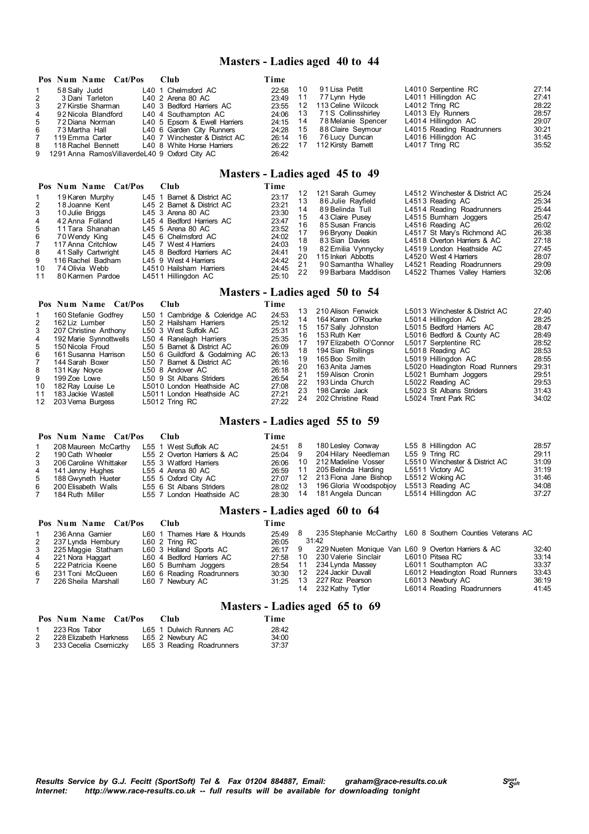### **Masters - Ladies aged 40 to 44**

|                | Pos Num Name Cat/Pos                              | - Club                         | Time     |      |                             |                           |       |
|----------------|---------------------------------------------------|--------------------------------|----------|------|-----------------------------|---------------------------|-------|
|                | 58 Sally Judd                                     | L40 1 Chelmsford AC            | 22:58    | - 10 | 91 Lisa Petitt              | L4010 Serpentine RC       | 27:14 |
| 2              | 3 Dani Tarleton                                   | L40 2 Arena 80 AC              | 23:49 11 |      | 77 Lynn Hyde                | L4011 Hillingdon AC       | 27:41 |
| 3              | 27 Kirstie Sharman                                | L40 3 Bedford Harriers AC      | 23:55    | 12   | 113 Celine Wilcock          | L4012 Tring RC            | 28:22 |
| $\overline{4}$ | 92 Nicola Blandford                               | L40 4 Southampton AC           |          |      | 24:06 13 71S Collinsshirley | L4013 Ely Runners         | 28:57 |
| 5              | 72 Diana Norman                                   | L40 5 Epsom & Ewell Harriers   |          |      | 24:15 14 78 Melanie Spencer | L4014 Hillingdon AC       | 29:07 |
| 6              | 73 Martha Hall                                    | L40 6 Garden City Runners      |          |      | 24:28 15 88 Claire Seymour  | L4015 Reading Roadrunners | 30:21 |
| 7              | 119 Emma Carter                                   | L40 7 Winchester & District AC | 26:14 16 |      | 76 Lucy Duncan              | L4016 Hillingdon AC       | 31:45 |
|                | 8 118 Rachel Bennett                              | L40 8 White Horse Harriers     |          |      | 26:22 17 112 Kirsty Barnett | L4017 Tring RC            | 35:52 |
|                | 9 1291 Anna Ramos Villaverde L40 9 Oxford City AC |                                | 26:42    |      |                             |                           |       |

### **Masters - Ladies aged 45 to 49**

|                | Pos Num Name Cat/Pos | Club                       | Time  |    |                     |                                |       |
|----------------|----------------------|----------------------------|-------|----|---------------------|--------------------------------|-------|
|                | 19 Karen Murphy      | L45 1 Barnet & District AC | 23:17 | 12 | 121 Sarah Gurnev    | L4512 Winchester & District AC | 25:24 |
|                |                      |                            |       | 13 | 86 Julie Rayfield   | L4513 Reading AC               | 25:34 |
| $\mathcal{P}$  | 18 Joanne Kent       | L45 2 Barnet & District AC | 23:21 | 14 | 89 Belinda Tull     | L4514 Reading Roadrunners      | 25:44 |
| 3              | 10 Julie Briggs      | L45 3 Arena 80 AC          | 23:30 |    | 43 Claire Pusev     | L4515 Bumham Joggers           | 25:47 |
| $\overline{4}$ | 42 Anna Folland      | L45 4 Bedford Harriers AC  | 23:47 | 15 |                     |                                |       |
| 5              | 11 Tara Shanahan     | L45 5 Arena 80 AC          | 23:52 | 16 | 85 Susan Francis    | L4516 Reading AC               | 26:02 |
| 6              | 70 Wendy King        | L45 6 Chelmsford AC        | 24:02 |    | 96 Bryony Deakin    | L4517 St Mary's Richmond AC    | 26:38 |
|                |                      |                            |       | 18 | 83 Sian Davies      | L4518 Overton Harriers & AC    | 27:18 |
| 7              | 117 Anna Critchlow   | L45 7 West 4 Harriers      | 24:03 | 19 | 82 Emilia Vynnycky  | L4519 London Heathside AC      | 27:45 |
| -8             | 41 Sally Cartwright  | L45 8 Bedford Harriers AC  | 24:41 |    | 115 Inkeri Abbotts  | L4520 West 4 Harriers          | 28:07 |
| 9              | 116 Rachel Badham    | L45 9 West 4 Harriers      | 24:42 | 20 |                     |                                |       |
| 10             | 74 Olivia Webb       | L4510 Hailsham Harriers    | 24:45 | 21 | 90 Samantha Whalley | L4521 Reading Roadrunners      | 29:09 |
| 11             | 80 Karmen Pardoe     | L4511 Hillingdon AC        | 25:10 | 22 | 99 Barbara Maddison | L4522 Thames Valley Harriers   | 32:06 |
|                |                      |                            |       |    |                     |                                |       |

# **Masters - Ladies aged 50 to 54**

|    | Pos Num Name Cat/Pos   | <b>Club</b>                    | Time  | 13. | 210 Alison Fenwick     | L5013 Winchester & District AC | 27:40 |
|----|------------------------|--------------------------------|-------|-----|------------------------|--------------------------------|-------|
|    | 160 Stefanie Godfrey   | L50 1 Cambridge & Coleridge AC | 24:53 |     |                        |                                |       |
| 2  | 162 Liz Lumber         | L50 2 Hailsham Harriers        | 25:12 | 14  | 164 Karen O'Rourke     | L5014 Hillingdon AC            | 28:25 |
| 3  | 207 Christine Anthony  | L50 3 West Suffolk AC          | 25:31 | 15  | 157 Sally Johnston     | L5015 Bedford Harriers AC      | 28:47 |
| 4  | 192 Marie Synnottwells | L50 4 Ranelagh Harriers        | 25:35 | 16  | 153 Ruth Kerr          | L5016 Bedford & County AC      | 28:49 |
| 5  | 150 Nicola Froud       | L50 5 Barnet & District AC     | 26:09 | 17  | 197 Elizabeth O'Connor | L5017 Serptentine RC           | 28:52 |
| 6  | 161 Susanna Harrison   | L50 6 Guildford & Godalming AC | 26:13 |     | 18 194 Sian Rollings   | L5018 Reading AC               | 28:53 |
|    | 144 Sarah Boxer        | L50 7 Barnet & District AC     | 26:16 | 19  | 165 Boo Smith          | L5019 Hillingdon AC            | 28:55 |
|    |                        |                                | 26:18 | 20  | 163 Anita James        | L5020 Headington Road Runners  | 29:31 |
| 8  | 131 Kay Noyce          | L50 8 Andover AC               |       | 21  | 159 Alison Cronin      | L5021 Bumham Joggers           | 29:51 |
| 9  | 199 Zoe Lowe           | L50 9 St Albans Striders       | 26:54 | 22  | 193 Linda Church       | L5022 Reading AC               | 29:53 |
| 10 | 182 Ray Louise Le      | L5010 London Heathside AC      | 27:08 |     | 23 198 Carole Jack     | L5023 St Albans Striders       | 31:43 |
| 11 | 183 Jackie Wastell     | L5011 London Heathside AC      | 27:21 | 24  | 202 Christine Read     | L5024 Trent Park RC            | 34:02 |
|    | 12 203 Verna Burgess   | L5012 Tring RC                 | 27:22 |     |                        |                                |       |

### **Masters - Ladies aged 55 to 59**

|   | Pos Num Name Cat/Pos   | – Club                      | Time      |                                 |                                |       |
|---|------------------------|-----------------------------|-----------|---------------------------------|--------------------------------|-------|
|   | 208 Maureen McCarthy   | L55 1 West Suffolk AC       | 24:51 8   | 180 Lesley Conway               | L55 8 Hillingdon AC            | 28:57 |
|   | 2 190 Cath Wheeler     | L55 2 Overton Harriers & AC | $25:04$ 9 | 204 Hilary Needleman            | L55 9 Tring RC                 | 29:11 |
| 3 | 206 Caroline Whittaker | L55 3 Watford Harriers      | 26:06     | 10 212 Madeline Vosser          | L5510 Winchester & District AC | 31:09 |
|   | 4 141 Jenny Hughes     | L55 4 Arena 80 AC           |           | 26:59 11 205 Belinda Harding    | L5511 Victory AC               | 31:19 |
|   | 5 188 Gwyneth Hueter   | L55 5 Oxford City AC        | 27.07     | 12 213 Fiona Jane Bishop        | L5512 Woking AC                | 31:46 |
|   | 6 200 Elisabeth Walls  | L55 6 St Albans Striders    |           | 28:02 13 196 Gloria Woodspobjoy | L5513 Reading AC               | 34:08 |
|   | 184 Ruth Miller        | L55 7 London Heathside AC   |           | 28:30 14 181 Angela Duncan      | L5514 Hillingdon AC            | 37:27 |

# **Masters - Ladies aged 60 to 64**

|             | Pos Num Name Cat/Pos | – Club                     | Time    |       |                         |                                                            |       |
|-------------|----------------------|----------------------------|---------|-------|-------------------------|------------------------------------------------------------|-------|
|             | 236 Anna Gamier      | L60 1 Thames Hare & Hounds | 25:49   |       |                         | 235 Stephanie McCarthy L60 8 Southern Counties Veterans AC |       |
| $2^{\circ}$ | 237 Lynda Hembury    | L60 2 Tring RC             | 26:05   |       | 31:42                   |                                                            |       |
|             | 3 225 Maggie Statham | L60 3 Holland Sports AC    | 26:17 9 |       |                         | 229 Nueten Monique Van L60 9 Overton Harriers & AC         | 32:40 |
|             | 4 221 Nora Haggart   | L60 4 Bedford Harriers AC  | 27:58   |       | 10 230 Valerie Sinclair | L6010 Pitsea RC                                            | 33:14 |
|             | 5 222 Patricia Keene | L60 5 Burnham Joggers      | 28:54   | $-11$ | 234 Lynda Massey        | L6011 Southampton AC                                       | 33:37 |
|             | 6 231 Toni McQueen   | L60 6 Reading Roadrunners  | 30:30   |       | 12 224 Jackir Duvall    | L6012 Headington Road Runners                              | 33:43 |
| 7           | 226 Sheila Marshall  | L60 7 Newbury AC           | 31:25   |       | 13 227 Roz Pearson      | L6013 Newbury AC                                           | 36:19 |
|             |                      |                            |         |       | 232 Kathy Tytler        | L6014 Reading Roadrunners                                  | 41:45 |

### **Masters - Ladies aged 65 to 69**

|   | Pos Num Name Cat/Pos   | Club.                     | Time  |
|---|------------------------|---------------------------|-------|
|   | 1 223 Ros Tabor        | L65 1 Dulwich Runners AC  | 28:42 |
| 2 | 228 Elizabeth Harkness | L65 2 Newbury AC          | 34:00 |
| 3 | 233 Cecelia Csemiczky  | L65 3 Reading Roadrunners | 37:37 |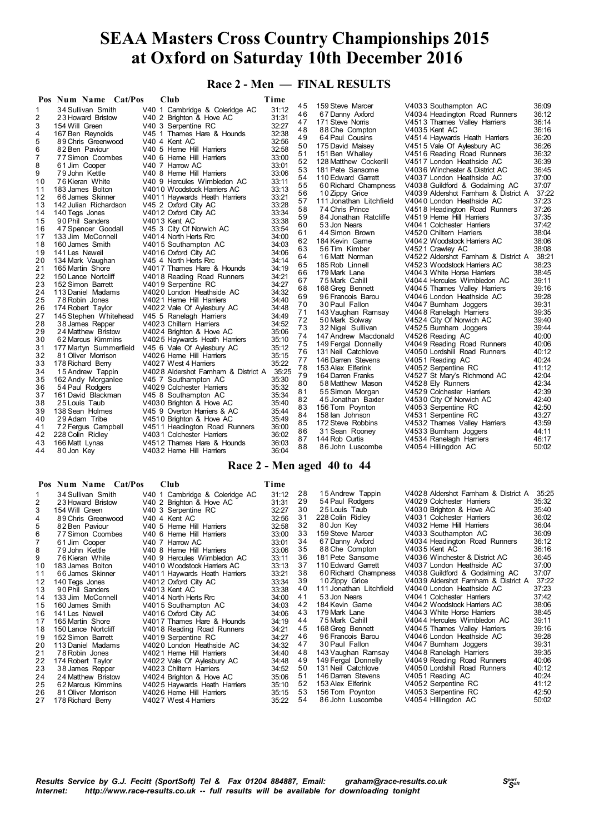**Race 2 - Men — FINAL RESULTS**

| 31:12<br>34 Sullivan Smith<br>V40 1 Cambridge & Coleridge AC<br>1<br>46<br>36:12<br>67 Danny Axford<br>V4034 Headington Road Runners<br>31:31<br>2<br>V40 2 Brighton & Hove AC<br>23 Howard Bristow<br>36:14<br>47<br>171 Steve Norris<br>V4513 Thames Valley Harriers<br>32:27<br>3<br>154 Will Green<br>V40 3 Serpentine RC<br>36:16<br>48<br>88 Che Compton<br>V4035 Kent AC<br>32:38<br>4<br>V45 1 Thames Hare & Hounds<br>167 Ben Reynolds<br>36:20<br>49<br>64 Paul Cousins<br>V4514 Haywards Heath Harriers<br>5<br>32:56<br>V40 4 Kent AC<br>89 Chris Greenwood<br>36:26<br>50<br>175 David Maisey<br>V4515 Vale Of Aylesbury AC<br>6<br>32:58<br>82 Ben Paviour<br>V40 5 Heme Hill Harriers<br>36:32<br>51<br>V4516 Reading Road Runners<br>151 Ben Whalley<br>7<br>33:00<br>77 Simon Coombes<br>V40 6 Heme Hill Harriers<br>36:39<br>52<br>128 Matthew Cockerill<br>V4517 London Heathside AC<br>8<br>33:01<br>61 Jim Cooper<br>V40 7 Harrow AC<br>53<br>36:45<br>181 Pete Sansome<br>V4036 Winchester & District AC<br>9<br>33:06<br>V40 8 Heme Hill Harriers<br>79 John Kettle<br>54<br>37:00<br>110 Edward Garrett<br>V4037 London Heathside AC<br>33:11<br>10<br>76 Kieran White<br>V40 9 Hercules Wimbledon AC<br>55<br>37:07<br>60 Richard Champness<br>V4038 Guildford & Godalming AC<br>33:13<br>11<br>183 James Bolton<br>V4010 Woodstock Harriers AC<br>37:22<br>56<br>V4039 Aldershot Famham & District A<br>10 Zippy Grice<br>33:21<br>12<br>66 James Skinner<br>V4011 Haywards Heath Harriers<br>37:23<br>57<br>111 Jonathan Litchfield<br>V4040 London Heathside AC<br>33:28<br>13<br>142 Julian Richardson<br>V45 2 Oxford City AC<br>37:26<br>58<br>74 Chris Prince<br>V4518 Headington Road Runners<br>33:34<br>140 Tegs Jones<br>V4012 Oxford City AC<br>14<br>37:35<br>59<br>84 Jonathan Ratcliffe<br>V4519 Herne Hill Harriers<br>33:38<br>15<br>90 Phil Sanders<br>V4013 Kent AC<br>37:42<br>60<br>V4041 Colchester Harriers<br>53 Jon Nears<br>33:54<br>16<br>V45 3 City Of Norwich AC<br>47 Spencer Goodall<br>38:04<br>61<br>44 Simon Brown<br>V4520 Chiltern Harriers<br>34:00<br>17<br>V4014 North Herts Rrc<br>133 Jim McConnell<br>62<br>38:06<br>184 Kevin Game<br>V4042 Woodstock Harriers AC<br>34:03<br>18<br>V4015 Southampton AC<br>160 James Smith<br>63<br>38:08<br>56 Tim Kimber<br>V4521 Crawley AC<br>34:06<br>19<br>141 Les Newell<br>V4016 Oxford City AC<br>38:21<br>64<br>V4522 Aldershot Famham & District A<br>16 Matt Norman<br>34:14<br>20<br>V45 4 North Herts Rrc<br>134 Mark Vaughan<br>65<br>38:23<br>185 Rob Linnell<br>V4523 Woodstock Harriers AC<br>34:19<br>21<br>165 Martin Shore<br>V4017 Thames Hare & Hounds<br>66<br>38:45<br>179 Mark Lane<br>V4043 White Horse Harriers<br>34:21<br>22<br>150 Lance Nortcliff<br>V4018 Reading Road Runners<br>39:11<br>67<br>75 Mark Cahill<br>V4044 Hercules Wimbledon AC<br>23<br>34:27<br>152 Simon Barrett<br>V4019 Serpentine RC<br>68<br>39:16<br>168 Greg Bennett<br>V4045 Thames Valley Harriers<br>34:32<br>24<br>113 Daniel Madams<br>V4020 London Heathside AC<br>69<br>39:28<br>96 Francois Barou<br>V4046 London Heathside AC<br>34:40<br>25<br>78 Robin Jones<br>V4021 Heme Hill Harriers<br>70<br>39:31<br>30 Paul Fallon<br>V4047 Bumham Joggers<br>26<br>34:48<br>174 Robert Taylor<br>V4022 Vale Of Aylesbury AC<br>71<br>39:35<br>143 Vaughan Ramsay<br>V4048 Ranelagh Harriers<br>27<br>34:49<br>145 Stephen Whitehead<br>V45 5 Ranelagh Harriers<br>72<br>39:40<br>50 Mark Solway<br>V4524 City Of Norwich AC<br>28<br>34:52<br>V4023 Chiltern Harriers<br>38 James Repper<br>73<br>39:44<br>32 Nigel Sullivan<br>V4525 Bumham Joggers<br>29<br>35:06<br>V4024 Brighton & Hove AC<br>24 Matthew Bristow<br>74<br>40:00<br>147 Andrew Macdonald<br>V4526 Reading AC<br>30<br>35:10<br>62 Marcus Kimmins<br>V4025 Haywards Heath Harriers<br>75<br>40:06<br>149 Fergal Donnelly<br>V4049 Reading Road Runners<br>35:12<br>31<br>177 Martyn Summerfield<br>V45 6 Vale Of Aylesbury AC<br>40:12<br>76<br>V4050 Lordshill Road Runners<br>131 Neil Catchlove<br>32<br>35:15<br>81 Oliver Morrison<br>V4026 Heme Hill Harriers<br>77<br>40:24<br>146 Darren Stevens<br>V4051 Reading AC<br>33<br>35:22<br>178 Richard Berry<br>V4027 West 4 Harriers<br>41:12<br>78<br>153 Alex Elferink<br>V4052 Serpentine RC<br>35:25<br>34<br>V4028 Aldershot Famham & District A<br>15 Andrew Tappin<br>42:04<br>79<br>164 Darren Franks<br>V4527 St Mary's Richmond AC<br>35<br>35:30<br>V45 7 Southampton AC<br>162 Andy Morganiee<br>42:34<br>80<br>58 Matthew Mason<br>V4528 Ely Runners<br>35:32<br>36<br>54 Paul Rodgers<br>V4029 Colchester Harriers<br>42:39<br>81<br>55 Simon Morgan<br>V4529 Colchester Harriers<br>35:34<br>37<br>161 David Blackman<br>V45 8 Southampton AC<br>82<br>42:40<br>45 Jonathan Baxter<br>V4530 City Of Norwich AC<br>35:40<br>38<br>25 Louis Taub<br>V4030 Brighton & Hove AC<br>42:50<br>83<br>156 Tom Poynton<br>V4053 Serpentine RC<br>39<br>35:44<br>138 Sean Holmes<br>V45 9 Overton Harriers & AC<br>43:27<br>84<br>158 lan Johnson<br>V4531 Serpentine RC<br>35:49<br>40<br>29 Adam Tribe<br>V4510 Brighton & Hove AC<br>43:59<br>85<br>172 Steve Robbins<br>V4532 Thames Valley Harriers<br>36:00<br>41<br>72 Fergus Campbell<br>V4511 Headington Road Runners<br>44:11<br>86<br>31 Sean Rooney<br>V4533 Bumham Joggers<br>36:02<br>42<br>228 Colin Ridley<br>V4031 Colchester Harriers<br>46:17<br>87<br>V4534 Ranelagh Harriers<br>144 Rob Curtis |    | Pos Num Name Cat/Pos | Club                       | Time  |    |                  |                      |       |
|------------------------------------------------------------------------------------------------------------------------------------------------------------------------------------------------------------------------------------------------------------------------------------------------------------------------------------------------------------------------------------------------------------------------------------------------------------------------------------------------------------------------------------------------------------------------------------------------------------------------------------------------------------------------------------------------------------------------------------------------------------------------------------------------------------------------------------------------------------------------------------------------------------------------------------------------------------------------------------------------------------------------------------------------------------------------------------------------------------------------------------------------------------------------------------------------------------------------------------------------------------------------------------------------------------------------------------------------------------------------------------------------------------------------------------------------------------------------------------------------------------------------------------------------------------------------------------------------------------------------------------------------------------------------------------------------------------------------------------------------------------------------------------------------------------------------------------------------------------------------------------------------------------------------------------------------------------------------------------------------------------------------------------------------------------------------------------------------------------------------------------------------------------------------------------------------------------------------------------------------------------------------------------------------------------------------------------------------------------------------------------------------------------------------------------------------------------------------------------------------------------------------------------------------------------------------------------------------------------------------------------------------------------------------------------------------------------------------------------------------------------------------------------------------------------------------------------------------------------------------------------------------------------------------------------------------------------------------------------------------------------------------------------------------------------------------------------------------------------------------------------------------------------------------------------------------------------------------------------------------------------------------------------------------------------------------------------------------------------------------------------------------------------------------------------------------------------------------------------------------------------------------------------------------------------------------------------------------------------------------------------------------------------------------------------------------------------------------------------------------------------------------------------------------------------------------------------------------------------------------------------------------------------------------------------------------------------------------------------------------------------------------------------------------------------------------------------------------------------------------------------------------------------------------------------------------------------------------------------------------------------------------------------------------------------------------------------------------------------------------------------------------------------------------------------------------------------------------------------------------------------------------------------------------------------------------------------------------------------------------------------------------------------------------------------------------------------------------------------------------------------------------------------------------------------------------------------------------------------------------------------------------------------------------------------------------------------------------------------------------------------------------------------------------------------------------------------------------------------------------------------------------------------------------------------------------------------------------------------------------------------------------------------------------------------------------------------------------------------------------------------------------------------------------------------------------------------------------------------------------------------------|----|----------------------|----------------------------|-------|----|------------------|----------------------|-------|
|                                                                                                                                                                                                                                                                                                                                                                                                                                                                                                                                                                                                                                                                                                                                                                                                                                                                                                                                                                                                                                                                                                                                                                                                                                                                                                                                                                                                                                                                                                                                                                                                                                                                                                                                                                                                                                                                                                                                                                                                                                                                                                                                                                                                                                                                                                                                                                                                                                                                                                                                                                                                                                                                                                                                                                                                                                                                                                                                                                                                                                                                                                                                                                                                                                                                                                                                                                                                                                                                                                                                                                                                                                                                                                                                                                                                                                                                                                                                                                                                                                                                                                                                                                                                                                                                                                                                                                                                                                                                                                                                                                                                                                                                                                                                                                                                                                                                                                                                                                                                                                                                                                                                                                                                                                                                                                                                                                                                                                                                                                                  |    |                      |                            |       | 45 | 159 Steve Marcer | V4033 Southampton AC | 36:09 |
|                                                                                                                                                                                                                                                                                                                                                                                                                                                                                                                                                                                                                                                                                                                                                                                                                                                                                                                                                                                                                                                                                                                                                                                                                                                                                                                                                                                                                                                                                                                                                                                                                                                                                                                                                                                                                                                                                                                                                                                                                                                                                                                                                                                                                                                                                                                                                                                                                                                                                                                                                                                                                                                                                                                                                                                                                                                                                                                                                                                                                                                                                                                                                                                                                                                                                                                                                                                                                                                                                                                                                                                                                                                                                                                                                                                                                                                                                                                                                                                                                                                                                                                                                                                                                                                                                                                                                                                                                                                                                                                                                                                                                                                                                                                                                                                                                                                                                                                                                                                                                                                                                                                                                                                                                                                                                                                                                                                                                                                                                                                  |    |                      |                            |       |    |                  |                      |       |
|                                                                                                                                                                                                                                                                                                                                                                                                                                                                                                                                                                                                                                                                                                                                                                                                                                                                                                                                                                                                                                                                                                                                                                                                                                                                                                                                                                                                                                                                                                                                                                                                                                                                                                                                                                                                                                                                                                                                                                                                                                                                                                                                                                                                                                                                                                                                                                                                                                                                                                                                                                                                                                                                                                                                                                                                                                                                                                                                                                                                                                                                                                                                                                                                                                                                                                                                                                                                                                                                                                                                                                                                                                                                                                                                                                                                                                                                                                                                                                                                                                                                                                                                                                                                                                                                                                                                                                                                                                                                                                                                                                                                                                                                                                                                                                                                                                                                                                                                                                                                                                                                                                                                                                                                                                                                                                                                                                                                                                                                                                                  |    |                      |                            |       |    |                  |                      |       |
|                                                                                                                                                                                                                                                                                                                                                                                                                                                                                                                                                                                                                                                                                                                                                                                                                                                                                                                                                                                                                                                                                                                                                                                                                                                                                                                                                                                                                                                                                                                                                                                                                                                                                                                                                                                                                                                                                                                                                                                                                                                                                                                                                                                                                                                                                                                                                                                                                                                                                                                                                                                                                                                                                                                                                                                                                                                                                                                                                                                                                                                                                                                                                                                                                                                                                                                                                                                                                                                                                                                                                                                                                                                                                                                                                                                                                                                                                                                                                                                                                                                                                                                                                                                                                                                                                                                                                                                                                                                                                                                                                                                                                                                                                                                                                                                                                                                                                                                                                                                                                                                                                                                                                                                                                                                                                                                                                                                                                                                                                                                  |    |                      |                            |       |    |                  |                      |       |
|                                                                                                                                                                                                                                                                                                                                                                                                                                                                                                                                                                                                                                                                                                                                                                                                                                                                                                                                                                                                                                                                                                                                                                                                                                                                                                                                                                                                                                                                                                                                                                                                                                                                                                                                                                                                                                                                                                                                                                                                                                                                                                                                                                                                                                                                                                                                                                                                                                                                                                                                                                                                                                                                                                                                                                                                                                                                                                                                                                                                                                                                                                                                                                                                                                                                                                                                                                                                                                                                                                                                                                                                                                                                                                                                                                                                                                                                                                                                                                                                                                                                                                                                                                                                                                                                                                                                                                                                                                                                                                                                                                                                                                                                                                                                                                                                                                                                                                                                                                                                                                                                                                                                                                                                                                                                                                                                                                                                                                                                                                                  |    |                      |                            |       |    |                  |                      |       |
|                                                                                                                                                                                                                                                                                                                                                                                                                                                                                                                                                                                                                                                                                                                                                                                                                                                                                                                                                                                                                                                                                                                                                                                                                                                                                                                                                                                                                                                                                                                                                                                                                                                                                                                                                                                                                                                                                                                                                                                                                                                                                                                                                                                                                                                                                                                                                                                                                                                                                                                                                                                                                                                                                                                                                                                                                                                                                                                                                                                                                                                                                                                                                                                                                                                                                                                                                                                                                                                                                                                                                                                                                                                                                                                                                                                                                                                                                                                                                                                                                                                                                                                                                                                                                                                                                                                                                                                                                                                                                                                                                                                                                                                                                                                                                                                                                                                                                                                                                                                                                                                                                                                                                                                                                                                                                                                                                                                                                                                                                                                  |    |                      |                            |       |    |                  |                      |       |
|                                                                                                                                                                                                                                                                                                                                                                                                                                                                                                                                                                                                                                                                                                                                                                                                                                                                                                                                                                                                                                                                                                                                                                                                                                                                                                                                                                                                                                                                                                                                                                                                                                                                                                                                                                                                                                                                                                                                                                                                                                                                                                                                                                                                                                                                                                                                                                                                                                                                                                                                                                                                                                                                                                                                                                                                                                                                                                                                                                                                                                                                                                                                                                                                                                                                                                                                                                                                                                                                                                                                                                                                                                                                                                                                                                                                                                                                                                                                                                                                                                                                                                                                                                                                                                                                                                                                                                                                                                                                                                                                                                                                                                                                                                                                                                                                                                                                                                                                                                                                                                                                                                                                                                                                                                                                                                                                                                                                                                                                                                                  |    |                      |                            |       |    |                  |                      |       |
|                                                                                                                                                                                                                                                                                                                                                                                                                                                                                                                                                                                                                                                                                                                                                                                                                                                                                                                                                                                                                                                                                                                                                                                                                                                                                                                                                                                                                                                                                                                                                                                                                                                                                                                                                                                                                                                                                                                                                                                                                                                                                                                                                                                                                                                                                                                                                                                                                                                                                                                                                                                                                                                                                                                                                                                                                                                                                                                                                                                                                                                                                                                                                                                                                                                                                                                                                                                                                                                                                                                                                                                                                                                                                                                                                                                                                                                                                                                                                                                                                                                                                                                                                                                                                                                                                                                                                                                                                                                                                                                                                                                                                                                                                                                                                                                                                                                                                                                                                                                                                                                                                                                                                                                                                                                                                                                                                                                                                                                                                                                  |    |                      |                            |       |    |                  |                      |       |
|                                                                                                                                                                                                                                                                                                                                                                                                                                                                                                                                                                                                                                                                                                                                                                                                                                                                                                                                                                                                                                                                                                                                                                                                                                                                                                                                                                                                                                                                                                                                                                                                                                                                                                                                                                                                                                                                                                                                                                                                                                                                                                                                                                                                                                                                                                                                                                                                                                                                                                                                                                                                                                                                                                                                                                                                                                                                                                                                                                                                                                                                                                                                                                                                                                                                                                                                                                                                                                                                                                                                                                                                                                                                                                                                                                                                                                                                                                                                                                                                                                                                                                                                                                                                                                                                                                                                                                                                                                                                                                                                                                                                                                                                                                                                                                                                                                                                                                                                                                                                                                                                                                                                                                                                                                                                                                                                                                                                                                                                                                                  |    |                      |                            |       |    |                  |                      |       |
|                                                                                                                                                                                                                                                                                                                                                                                                                                                                                                                                                                                                                                                                                                                                                                                                                                                                                                                                                                                                                                                                                                                                                                                                                                                                                                                                                                                                                                                                                                                                                                                                                                                                                                                                                                                                                                                                                                                                                                                                                                                                                                                                                                                                                                                                                                                                                                                                                                                                                                                                                                                                                                                                                                                                                                                                                                                                                                                                                                                                                                                                                                                                                                                                                                                                                                                                                                                                                                                                                                                                                                                                                                                                                                                                                                                                                                                                                                                                                                                                                                                                                                                                                                                                                                                                                                                                                                                                                                                                                                                                                                                                                                                                                                                                                                                                                                                                                                                                                                                                                                                                                                                                                                                                                                                                                                                                                                                                                                                                                                                  |    |                      |                            |       |    |                  |                      |       |
|                                                                                                                                                                                                                                                                                                                                                                                                                                                                                                                                                                                                                                                                                                                                                                                                                                                                                                                                                                                                                                                                                                                                                                                                                                                                                                                                                                                                                                                                                                                                                                                                                                                                                                                                                                                                                                                                                                                                                                                                                                                                                                                                                                                                                                                                                                                                                                                                                                                                                                                                                                                                                                                                                                                                                                                                                                                                                                                                                                                                                                                                                                                                                                                                                                                                                                                                                                                                                                                                                                                                                                                                                                                                                                                                                                                                                                                                                                                                                                                                                                                                                                                                                                                                                                                                                                                                                                                                                                                                                                                                                                                                                                                                                                                                                                                                                                                                                                                                                                                                                                                                                                                                                                                                                                                                                                                                                                                                                                                                                                                  |    |                      |                            |       |    |                  |                      |       |
|                                                                                                                                                                                                                                                                                                                                                                                                                                                                                                                                                                                                                                                                                                                                                                                                                                                                                                                                                                                                                                                                                                                                                                                                                                                                                                                                                                                                                                                                                                                                                                                                                                                                                                                                                                                                                                                                                                                                                                                                                                                                                                                                                                                                                                                                                                                                                                                                                                                                                                                                                                                                                                                                                                                                                                                                                                                                                                                                                                                                                                                                                                                                                                                                                                                                                                                                                                                                                                                                                                                                                                                                                                                                                                                                                                                                                                                                                                                                                                                                                                                                                                                                                                                                                                                                                                                                                                                                                                                                                                                                                                                                                                                                                                                                                                                                                                                                                                                                                                                                                                                                                                                                                                                                                                                                                                                                                                                                                                                                                                                  |    |                      |                            |       |    |                  |                      |       |
|                                                                                                                                                                                                                                                                                                                                                                                                                                                                                                                                                                                                                                                                                                                                                                                                                                                                                                                                                                                                                                                                                                                                                                                                                                                                                                                                                                                                                                                                                                                                                                                                                                                                                                                                                                                                                                                                                                                                                                                                                                                                                                                                                                                                                                                                                                                                                                                                                                                                                                                                                                                                                                                                                                                                                                                                                                                                                                                                                                                                                                                                                                                                                                                                                                                                                                                                                                                                                                                                                                                                                                                                                                                                                                                                                                                                                                                                                                                                                                                                                                                                                                                                                                                                                                                                                                                                                                                                                                                                                                                                                                                                                                                                                                                                                                                                                                                                                                                                                                                                                                                                                                                                                                                                                                                                                                                                                                                                                                                                                                                  |    |                      |                            |       |    |                  |                      |       |
|                                                                                                                                                                                                                                                                                                                                                                                                                                                                                                                                                                                                                                                                                                                                                                                                                                                                                                                                                                                                                                                                                                                                                                                                                                                                                                                                                                                                                                                                                                                                                                                                                                                                                                                                                                                                                                                                                                                                                                                                                                                                                                                                                                                                                                                                                                                                                                                                                                                                                                                                                                                                                                                                                                                                                                                                                                                                                                                                                                                                                                                                                                                                                                                                                                                                                                                                                                                                                                                                                                                                                                                                                                                                                                                                                                                                                                                                                                                                                                                                                                                                                                                                                                                                                                                                                                                                                                                                                                                                                                                                                                                                                                                                                                                                                                                                                                                                                                                                                                                                                                                                                                                                                                                                                                                                                                                                                                                                                                                                                                                  |    |                      |                            |       |    |                  |                      |       |
|                                                                                                                                                                                                                                                                                                                                                                                                                                                                                                                                                                                                                                                                                                                                                                                                                                                                                                                                                                                                                                                                                                                                                                                                                                                                                                                                                                                                                                                                                                                                                                                                                                                                                                                                                                                                                                                                                                                                                                                                                                                                                                                                                                                                                                                                                                                                                                                                                                                                                                                                                                                                                                                                                                                                                                                                                                                                                                                                                                                                                                                                                                                                                                                                                                                                                                                                                                                                                                                                                                                                                                                                                                                                                                                                                                                                                                                                                                                                                                                                                                                                                                                                                                                                                                                                                                                                                                                                                                                                                                                                                                                                                                                                                                                                                                                                                                                                                                                                                                                                                                                                                                                                                                                                                                                                                                                                                                                                                                                                                                                  |    |                      |                            |       |    |                  |                      |       |
|                                                                                                                                                                                                                                                                                                                                                                                                                                                                                                                                                                                                                                                                                                                                                                                                                                                                                                                                                                                                                                                                                                                                                                                                                                                                                                                                                                                                                                                                                                                                                                                                                                                                                                                                                                                                                                                                                                                                                                                                                                                                                                                                                                                                                                                                                                                                                                                                                                                                                                                                                                                                                                                                                                                                                                                                                                                                                                                                                                                                                                                                                                                                                                                                                                                                                                                                                                                                                                                                                                                                                                                                                                                                                                                                                                                                                                                                                                                                                                                                                                                                                                                                                                                                                                                                                                                                                                                                                                                                                                                                                                                                                                                                                                                                                                                                                                                                                                                                                                                                                                                                                                                                                                                                                                                                                                                                                                                                                                                                                                                  |    |                      |                            |       |    |                  |                      |       |
|                                                                                                                                                                                                                                                                                                                                                                                                                                                                                                                                                                                                                                                                                                                                                                                                                                                                                                                                                                                                                                                                                                                                                                                                                                                                                                                                                                                                                                                                                                                                                                                                                                                                                                                                                                                                                                                                                                                                                                                                                                                                                                                                                                                                                                                                                                                                                                                                                                                                                                                                                                                                                                                                                                                                                                                                                                                                                                                                                                                                                                                                                                                                                                                                                                                                                                                                                                                                                                                                                                                                                                                                                                                                                                                                                                                                                                                                                                                                                                                                                                                                                                                                                                                                                                                                                                                                                                                                                                                                                                                                                                                                                                                                                                                                                                                                                                                                                                                                                                                                                                                                                                                                                                                                                                                                                                                                                                                                                                                                                                                  |    |                      |                            |       |    |                  |                      |       |
|                                                                                                                                                                                                                                                                                                                                                                                                                                                                                                                                                                                                                                                                                                                                                                                                                                                                                                                                                                                                                                                                                                                                                                                                                                                                                                                                                                                                                                                                                                                                                                                                                                                                                                                                                                                                                                                                                                                                                                                                                                                                                                                                                                                                                                                                                                                                                                                                                                                                                                                                                                                                                                                                                                                                                                                                                                                                                                                                                                                                                                                                                                                                                                                                                                                                                                                                                                                                                                                                                                                                                                                                                                                                                                                                                                                                                                                                                                                                                                                                                                                                                                                                                                                                                                                                                                                                                                                                                                                                                                                                                                                                                                                                                                                                                                                                                                                                                                                                                                                                                                                                                                                                                                                                                                                                                                                                                                                                                                                                                                                  |    |                      |                            |       |    |                  |                      |       |
|                                                                                                                                                                                                                                                                                                                                                                                                                                                                                                                                                                                                                                                                                                                                                                                                                                                                                                                                                                                                                                                                                                                                                                                                                                                                                                                                                                                                                                                                                                                                                                                                                                                                                                                                                                                                                                                                                                                                                                                                                                                                                                                                                                                                                                                                                                                                                                                                                                                                                                                                                                                                                                                                                                                                                                                                                                                                                                                                                                                                                                                                                                                                                                                                                                                                                                                                                                                                                                                                                                                                                                                                                                                                                                                                                                                                                                                                                                                                                                                                                                                                                                                                                                                                                                                                                                                                                                                                                                                                                                                                                                                                                                                                                                                                                                                                                                                                                                                                                                                                                                                                                                                                                                                                                                                                                                                                                                                                                                                                                                                  |    |                      |                            |       |    |                  |                      |       |
|                                                                                                                                                                                                                                                                                                                                                                                                                                                                                                                                                                                                                                                                                                                                                                                                                                                                                                                                                                                                                                                                                                                                                                                                                                                                                                                                                                                                                                                                                                                                                                                                                                                                                                                                                                                                                                                                                                                                                                                                                                                                                                                                                                                                                                                                                                                                                                                                                                                                                                                                                                                                                                                                                                                                                                                                                                                                                                                                                                                                                                                                                                                                                                                                                                                                                                                                                                                                                                                                                                                                                                                                                                                                                                                                                                                                                                                                                                                                                                                                                                                                                                                                                                                                                                                                                                                                                                                                                                                                                                                                                                                                                                                                                                                                                                                                                                                                                                                                                                                                                                                                                                                                                                                                                                                                                                                                                                                                                                                                                                                  |    |                      |                            |       |    |                  |                      |       |
|                                                                                                                                                                                                                                                                                                                                                                                                                                                                                                                                                                                                                                                                                                                                                                                                                                                                                                                                                                                                                                                                                                                                                                                                                                                                                                                                                                                                                                                                                                                                                                                                                                                                                                                                                                                                                                                                                                                                                                                                                                                                                                                                                                                                                                                                                                                                                                                                                                                                                                                                                                                                                                                                                                                                                                                                                                                                                                                                                                                                                                                                                                                                                                                                                                                                                                                                                                                                                                                                                                                                                                                                                                                                                                                                                                                                                                                                                                                                                                                                                                                                                                                                                                                                                                                                                                                                                                                                                                                                                                                                                                                                                                                                                                                                                                                                                                                                                                                                                                                                                                                                                                                                                                                                                                                                                                                                                                                                                                                                                                                  |    |                      |                            |       |    |                  |                      |       |
|                                                                                                                                                                                                                                                                                                                                                                                                                                                                                                                                                                                                                                                                                                                                                                                                                                                                                                                                                                                                                                                                                                                                                                                                                                                                                                                                                                                                                                                                                                                                                                                                                                                                                                                                                                                                                                                                                                                                                                                                                                                                                                                                                                                                                                                                                                                                                                                                                                                                                                                                                                                                                                                                                                                                                                                                                                                                                                                                                                                                                                                                                                                                                                                                                                                                                                                                                                                                                                                                                                                                                                                                                                                                                                                                                                                                                                                                                                                                                                                                                                                                                                                                                                                                                                                                                                                                                                                                                                                                                                                                                                                                                                                                                                                                                                                                                                                                                                                                                                                                                                                                                                                                                                                                                                                                                                                                                                                                                                                                                                                  |    |                      |                            |       |    |                  |                      |       |
|                                                                                                                                                                                                                                                                                                                                                                                                                                                                                                                                                                                                                                                                                                                                                                                                                                                                                                                                                                                                                                                                                                                                                                                                                                                                                                                                                                                                                                                                                                                                                                                                                                                                                                                                                                                                                                                                                                                                                                                                                                                                                                                                                                                                                                                                                                                                                                                                                                                                                                                                                                                                                                                                                                                                                                                                                                                                                                                                                                                                                                                                                                                                                                                                                                                                                                                                                                                                                                                                                                                                                                                                                                                                                                                                                                                                                                                                                                                                                                                                                                                                                                                                                                                                                                                                                                                                                                                                                                                                                                                                                                                                                                                                                                                                                                                                                                                                                                                                                                                                                                                                                                                                                                                                                                                                                                                                                                                                                                                                                                                  |    |                      |                            |       |    |                  |                      |       |
|                                                                                                                                                                                                                                                                                                                                                                                                                                                                                                                                                                                                                                                                                                                                                                                                                                                                                                                                                                                                                                                                                                                                                                                                                                                                                                                                                                                                                                                                                                                                                                                                                                                                                                                                                                                                                                                                                                                                                                                                                                                                                                                                                                                                                                                                                                                                                                                                                                                                                                                                                                                                                                                                                                                                                                                                                                                                                                                                                                                                                                                                                                                                                                                                                                                                                                                                                                                                                                                                                                                                                                                                                                                                                                                                                                                                                                                                                                                                                                                                                                                                                                                                                                                                                                                                                                                                                                                                                                                                                                                                                                                                                                                                                                                                                                                                                                                                                                                                                                                                                                                                                                                                                                                                                                                                                                                                                                                                                                                                                                                  |    |                      |                            |       |    |                  |                      |       |
|                                                                                                                                                                                                                                                                                                                                                                                                                                                                                                                                                                                                                                                                                                                                                                                                                                                                                                                                                                                                                                                                                                                                                                                                                                                                                                                                                                                                                                                                                                                                                                                                                                                                                                                                                                                                                                                                                                                                                                                                                                                                                                                                                                                                                                                                                                                                                                                                                                                                                                                                                                                                                                                                                                                                                                                                                                                                                                                                                                                                                                                                                                                                                                                                                                                                                                                                                                                                                                                                                                                                                                                                                                                                                                                                                                                                                                                                                                                                                                                                                                                                                                                                                                                                                                                                                                                                                                                                                                                                                                                                                                                                                                                                                                                                                                                                                                                                                                                                                                                                                                                                                                                                                                                                                                                                                                                                                                                                                                                                                                                  |    |                      |                            |       |    |                  |                      |       |
|                                                                                                                                                                                                                                                                                                                                                                                                                                                                                                                                                                                                                                                                                                                                                                                                                                                                                                                                                                                                                                                                                                                                                                                                                                                                                                                                                                                                                                                                                                                                                                                                                                                                                                                                                                                                                                                                                                                                                                                                                                                                                                                                                                                                                                                                                                                                                                                                                                                                                                                                                                                                                                                                                                                                                                                                                                                                                                                                                                                                                                                                                                                                                                                                                                                                                                                                                                                                                                                                                                                                                                                                                                                                                                                                                                                                                                                                                                                                                                                                                                                                                                                                                                                                                                                                                                                                                                                                                                                                                                                                                                                                                                                                                                                                                                                                                                                                                                                                                                                                                                                                                                                                                                                                                                                                                                                                                                                                                                                                                                                  |    |                      |                            |       |    |                  |                      |       |
|                                                                                                                                                                                                                                                                                                                                                                                                                                                                                                                                                                                                                                                                                                                                                                                                                                                                                                                                                                                                                                                                                                                                                                                                                                                                                                                                                                                                                                                                                                                                                                                                                                                                                                                                                                                                                                                                                                                                                                                                                                                                                                                                                                                                                                                                                                                                                                                                                                                                                                                                                                                                                                                                                                                                                                                                                                                                                                                                                                                                                                                                                                                                                                                                                                                                                                                                                                                                                                                                                                                                                                                                                                                                                                                                                                                                                                                                                                                                                                                                                                                                                                                                                                                                                                                                                                                                                                                                                                                                                                                                                                                                                                                                                                                                                                                                                                                                                                                                                                                                                                                                                                                                                                                                                                                                                                                                                                                                                                                                                                                  |    |                      |                            |       |    |                  |                      |       |
|                                                                                                                                                                                                                                                                                                                                                                                                                                                                                                                                                                                                                                                                                                                                                                                                                                                                                                                                                                                                                                                                                                                                                                                                                                                                                                                                                                                                                                                                                                                                                                                                                                                                                                                                                                                                                                                                                                                                                                                                                                                                                                                                                                                                                                                                                                                                                                                                                                                                                                                                                                                                                                                                                                                                                                                                                                                                                                                                                                                                                                                                                                                                                                                                                                                                                                                                                                                                                                                                                                                                                                                                                                                                                                                                                                                                                                                                                                                                                                                                                                                                                                                                                                                                                                                                                                                                                                                                                                                                                                                                                                                                                                                                                                                                                                                                                                                                                                                                                                                                                                                                                                                                                                                                                                                                                                                                                                                                                                                                                                                  |    |                      |                            |       |    |                  |                      |       |
|                                                                                                                                                                                                                                                                                                                                                                                                                                                                                                                                                                                                                                                                                                                                                                                                                                                                                                                                                                                                                                                                                                                                                                                                                                                                                                                                                                                                                                                                                                                                                                                                                                                                                                                                                                                                                                                                                                                                                                                                                                                                                                                                                                                                                                                                                                                                                                                                                                                                                                                                                                                                                                                                                                                                                                                                                                                                                                                                                                                                                                                                                                                                                                                                                                                                                                                                                                                                                                                                                                                                                                                                                                                                                                                                                                                                                                                                                                                                                                                                                                                                                                                                                                                                                                                                                                                                                                                                                                                                                                                                                                                                                                                                                                                                                                                                                                                                                                                                                                                                                                                                                                                                                                                                                                                                                                                                                                                                                                                                                                                  |    |                      |                            |       |    |                  |                      |       |
|                                                                                                                                                                                                                                                                                                                                                                                                                                                                                                                                                                                                                                                                                                                                                                                                                                                                                                                                                                                                                                                                                                                                                                                                                                                                                                                                                                                                                                                                                                                                                                                                                                                                                                                                                                                                                                                                                                                                                                                                                                                                                                                                                                                                                                                                                                                                                                                                                                                                                                                                                                                                                                                                                                                                                                                                                                                                                                                                                                                                                                                                                                                                                                                                                                                                                                                                                                                                                                                                                                                                                                                                                                                                                                                                                                                                                                                                                                                                                                                                                                                                                                                                                                                                                                                                                                                                                                                                                                                                                                                                                                                                                                                                                                                                                                                                                                                                                                                                                                                                                                                                                                                                                                                                                                                                                                                                                                                                                                                                                                                  |    |                      |                            |       |    |                  |                      |       |
|                                                                                                                                                                                                                                                                                                                                                                                                                                                                                                                                                                                                                                                                                                                                                                                                                                                                                                                                                                                                                                                                                                                                                                                                                                                                                                                                                                                                                                                                                                                                                                                                                                                                                                                                                                                                                                                                                                                                                                                                                                                                                                                                                                                                                                                                                                                                                                                                                                                                                                                                                                                                                                                                                                                                                                                                                                                                                                                                                                                                                                                                                                                                                                                                                                                                                                                                                                                                                                                                                                                                                                                                                                                                                                                                                                                                                                                                                                                                                                                                                                                                                                                                                                                                                                                                                                                                                                                                                                                                                                                                                                                                                                                                                                                                                                                                                                                                                                                                                                                                                                                                                                                                                                                                                                                                                                                                                                                                                                                                                                                  |    |                      |                            |       |    |                  |                      |       |
|                                                                                                                                                                                                                                                                                                                                                                                                                                                                                                                                                                                                                                                                                                                                                                                                                                                                                                                                                                                                                                                                                                                                                                                                                                                                                                                                                                                                                                                                                                                                                                                                                                                                                                                                                                                                                                                                                                                                                                                                                                                                                                                                                                                                                                                                                                                                                                                                                                                                                                                                                                                                                                                                                                                                                                                                                                                                                                                                                                                                                                                                                                                                                                                                                                                                                                                                                                                                                                                                                                                                                                                                                                                                                                                                                                                                                                                                                                                                                                                                                                                                                                                                                                                                                                                                                                                                                                                                                                                                                                                                                                                                                                                                                                                                                                                                                                                                                                                                                                                                                                                                                                                                                                                                                                                                                                                                                                                                                                                                                                                  |    |                      |                            |       |    |                  |                      |       |
|                                                                                                                                                                                                                                                                                                                                                                                                                                                                                                                                                                                                                                                                                                                                                                                                                                                                                                                                                                                                                                                                                                                                                                                                                                                                                                                                                                                                                                                                                                                                                                                                                                                                                                                                                                                                                                                                                                                                                                                                                                                                                                                                                                                                                                                                                                                                                                                                                                                                                                                                                                                                                                                                                                                                                                                                                                                                                                                                                                                                                                                                                                                                                                                                                                                                                                                                                                                                                                                                                                                                                                                                                                                                                                                                                                                                                                                                                                                                                                                                                                                                                                                                                                                                                                                                                                                                                                                                                                                                                                                                                                                                                                                                                                                                                                                                                                                                                                                                                                                                                                                                                                                                                                                                                                                                                                                                                                                                                                                                                                                  |    |                      |                            |       |    |                  |                      |       |
|                                                                                                                                                                                                                                                                                                                                                                                                                                                                                                                                                                                                                                                                                                                                                                                                                                                                                                                                                                                                                                                                                                                                                                                                                                                                                                                                                                                                                                                                                                                                                                                                                                                                                                                                                                                                                                                                                                                                                                                                                                                                                                                                                                                                                                                                                                                                                                                                                                                                                                                                                                                                                                                                                                                                                                                                                                                                                                                                                                                                                                                                                                                                                                                                                                                                                                                                                                                                                                                                                                                                                                                                                                                                                                                                                                                                                                                                                                                                                                                                                                                                                                                                                                                                                                                                                                                                                                                                                                                                                                                                                                                                                                                                                                                                                                                                                                                                                                                                                                                                                                                                                                                                                                                                                                                                                                                                                                                                                                                                                                                  |    |                      |                            |       |    |                  |                      |       |
|                                                                                                                                                                                                                                                                                                                                                                                                                                                                                                                                                                                                                                                                                                                                                                                                                                                                                                                                                                                                                                                                                                                                                                                                                                                                                                                                                                                                                                                                                                                                                                                                                                                                                                                                                                                                                                                                                                                                                                                                                                                                                                                                                                                                                                                                                                                                                                                                                                                                                                                                                                                                                                                                                                                                                                                                                                                                                                                                                                                                                                                                                                                                                                                                                                                                                                                                                                                                                                                                                                                                                                                                                                                                                                                                                                                                                                                                                                                                                                                                                                                                                                                                                                                                                                                                                                                                                                                                                                                                                                                                                                                                                                                                                                                                                                                                                                                                                                                                                                                                                                                                                                                                                                                                                                                                                                                                                                                                                                                                                                                  |    |                      |                            |       |    |                  |                      |       |
|                                                                                                                                                                                                                                                                                                                                                                                                                                                                                                                                                                                                                                                                                                                                                                                                                                                                                                                                                                                                                                                                                                                                                                                                                                                                                                                                                                                                                                                                                                                                                                                                                                                                                                                                                                                                                                                                                                                                                                                                                                                                                                                                                                                                                                                                                                                                                                                                                                                                                                                                                                                                                                                                                                                                                                                                                                                                                                                                                                                                                                                                                                                                                                                                                                                                                                                                                                                                                                                                                                                                                                                                                                                                                                                                                                                                                                                                                                                                                                                                                                                                                                                                                                                                                                                                                                                                                                                                                                                                                                                                                                                                                                                                                                                                                                                                                                                                                                                                                                                                                                                                                                                                                                                                                                                                                                                                                                                                                                                                                                                  |    |                      |                            |       |    |                  |                      |       |
|                                                                                                                                                                                                                                                                                                                                                                                                                                                                                                                                                                                                                                                                                                                                                                                                                                                                                                                                                                                                                                                                                                                                                                                                                                                                                                                                                                                                                                                                                                                                                                                                                                                                                                                                                                                                                                                                                                                                                                                                                                                                                                                                                                                                                                                                                                                                                                                                                                                                                                                                                                                                                                                                                                                                                                                                                                                                                                                                                                                                                                                                                                                                                                                                                                                                                                                                                                                                                                                                                                                                                                                                                                                                                                                                                                                                                                                                                                                                                                                                                                                                                                                                                                                                                                                                                                                                                                                                                                                                                                                                                                                                                                                                                                                                                                                                                                                                                                                                                                                                                                                                                                                                                                                                                                                                                                                                                                                                                                                                                                                  |    |                      |                            |       |    |                  |                      |       |
|                                                                                                                                                                                                                                                                                                                                                                                                                                                                                                                                                                                                                                                                                                                                                                                                                                                                                                                                                                                                                                                                                                                                                                                                                                                                                                                                                                                                                                                                                                                                                                                                                                                                                                                                                                                                                                                                                                                                                                                                                                                                                                                                                                                                                                                                                                                                                                                                                                                                                                                                                                                                                                                                                                                                                                                                                                                                                                                                                                                                                                                                                                                                                                                                                                                                                                                                                                                                                                                                                                                                                                                                                                                                                                                                                                                                                                                                                                                                                                                                                                                                                                                                                                                                                                                                                                                                                                                                                                                                                                                                                                                                                                                                                                                                                                                                                                                                                                                                                                                                                                                                                                                                                                                                                                                                                                                                                                                                                                                                                                                  |    |                      |                            |       |    |                  |                      |       |
|                                                                                                                                                                                                                                                                                                                                                                                                                                                                                                                                                                                                                                                                                                                                                                                                                                                                                                                                                                                                                                                                                                                                                                                                                                                                                                                                                                                                                                                                                                                                                                                                                                                                                                                                                                                                                                                                                                                                                                                                                                                                                                                                                                                                                                                                                                                                                                                                                                                                                                                                                                                                                                                                                                                                                                                                                                                                                                                                                                                                                                                                                                                                                                                                                                                                                                                                                                                                                                                                                                                                                                                                                                                                                                                                                                                                                                                                                                                                                                                                                                                                                                                                                                                                                                                                                                                                                                                                                                                                                                                                                                                                                                                                                                                                                                                                                                                                                                                                                                                                                                                                                                                                                                                                                                                                                                                                                                                                                                                                                                                  |    |                      |                            |       |    |                  |                      |       |
|                                                                                                                                                                                                                                                                                                                                                                                                                                                                                                                                                                                                                                                                                                                                                                                                                                                                                                                                                                                                                                                                                                                                                                                                                                                                                                                                                                                                                                                                                                                                                                                                                                                                                                                                                                                                                                                                                                                                                                                                                                                                                                                                                                                                                                                                                                                                                                                                                                                                                                                                                                                                                                                                                                                                                                                                                                                                                                                                                                                                                                                                                                                                                                                                                                                                                                                                                                                                                                                                                                                                                                                                                                                                                                                                                                                                                                                                                                                                                                                                                                                                                                                                                                                                                                                                                                                                                                                                                                                                                                                                                                                                                                                                                                                                                                                                                                                                                                                                                                                                                                                                                                                                                                                                                                                                                                                                                                                                                                                                                                                  |    |                      |                            |       |    |                  |                      |       |
|                                                                                                                                                                                                                                                                                                                                                                                                                                                                                                                                                                                                                                                                                                                                                                                                                                                                                                                                                                                                                                                                                                                                                                                                                                                                                                                                                                                                                                                                                                                                                                                                                                                                                                                                                                                                                                                                                                                                                                                                                                                                                                                                                                                                                                                                                                                                                                                                                                                                                                                                                                                                                                                                                                                                                                                                                                                                                                                                                                                                                                                                                                                                                                                                                                                                                                                                                                                                                                                                                                                                                                                                                                                                                                                                                                                                                                                                                                                                                                                                                                                                                                                                                                                                                                                                                                                                                                                                                                                                                                                                                                                                                                                                                                                                                                                                                                                                                                                                                                                                                                                                                                                                                                                                                                                                                                                                                                                                                                                                                                                  |    |                      |                            |       |    |                  |                      |       |
|                                                                                                                                                                                                                                                                                                                                                                                                                                                                                                                                                                                                                                                                                                                                                                                                                                                                                                                                                                                                                                                                                                                                                                                                                                                                                                                                                                                                                                                                                                                                                                                                                                                                                                                                                                                                                                                                                                                                                                                                                                                                                                                                                                                                                                                                                                                                                                                                                                                                                                                                                                                                                                                                                                                                                                                                                                                                                                                                                                                                                                                                                                                                                                                                                                                                                                                                                                                                                                                                                                                                                                                                                                                                                                                                                                                                                                                                                                                                                                                                                                                                                                                                                                                                                                                                                                                                                                                                                                                                                                                                                                                                                                                                                                                                                                                                                                                                                                                                                                                                                                                                                                                                                                                                                                                                                                                                                                                                                                                                                                                  |    |                      |                            |       |    |                  |                      |       |
|                                                                                                                                                                                                                                                                                                                                                                                                                                                                                                                                                                                                                                                                                                                                                                                                                                                                                                                                                                                                                                                                                                                                                                                                                                                                                                                                                                                                                                                                                                                                                                                                                                                                                                                                                                                                                                                                                                                                                                                                                                                                                                                                                                                                                                                                                                                                                                                                                                                                                                                                                                                                                                                                                                                                                                                                                                                                                                                                                                                                                                                                                                                                                                                                                                                                                                                                                                                                                                                                                                                                                                                                                                                                                                                                                                                                                                                                                                                                                                                                                                                                                                                                                                                                                                                                                                                                                                                                                                                                                                                                                                                                                                                                                                                                                                                                                                                                                                                                                                                                                                                                                                                                                                                                                                                                                                                                                                                                                                                                                                                  | 43 | 166 Matt Lynas       | V4512 Thames Hare & Hounds | 36:03 |    |                  |                      |       |
| 88<br>50:02<br>86 John Luscombe<br>36:04<br>44<br>80 Jon Key<br>V4032 Heme Hill Harriers                                                                                                                                                                                                                                                                                                                                                                                                                                                                                                                                                                                                                                                                                                                                                                                                                                                                                                                                                                                                                                                                                                                                                                                                                                                                                                                                                                                                                                                                                                                                                                                                                                                                                                                                                                                                                                                                                                                                                                                                                                                                                                                                                                                                                                                                                                                                                                                                                                                                                                                                                                                                                                                                                                                                                                                                                                                                                                                                                                                                                                                                                                                                                                                                                                                                                                                                                                                                                                                                                                                                                                                                                                                                                                                                                                                                                                                                                                                                                                                                                                                                                                                                                                                                                                                                                                                                                                                                                                                                                                                                                                                                                                                                                                                                                                                                                                                                                                                                                                                                                                                                                                                                                                                                                                                                                                                                                                                                                         |    |                      |                            |       |    |                  | V4054 Hillingdon AC  |       |

### **Race 2 - Men aged 40 to 44**

|    | Pos Num Name Cat/Pos | Club                           | Time  |    |                         |                                     |       |
|----|----------------------|--------------------------------|-------|----|-------------------------|-------------------------------------|-------|
|    | 34 Sullivan Smith    | V40 1 Cambridge & Coleridge AC | 31:12 | 28 | 15 Andrew Tappin        | V4028 Aldershot Famham & District A | 35:25 |
|    | 23 Howard Bristow    | V40 2 Brighton & Hove AC       | 31:31 | 29 | 54 Paul Rodgers         | V4029 Colchester Harriers           | 35:32 |
|    | 154 Will Green       | V40 3 Serpentine RC            | 32:27 | 30 | 25 Louis Taub           | V4030 Brighton & Hove AC            | 35:40 |
| 4  | 89 Chris Greenwood   | V40 4 Kent AC                  | 32:56 | 31 | 228 Colin Ridley        | V4031 Colchester Harriers           | 36:02 |
| 5  | 82 Ben Paviour       | V40 5 Heme Hill Harriers       | 32:58 | 32 | 80 Jon Key              | V4032 Herne Hill Harriers           | 36:04 |
| 6  | 77 Simon Coombes     | V40 6 Heme Hill Harriers       | 33:00 | 33 | 159 Steve Marcer        | V4033 Southampton AC                | 36:09 |
|    | 61 Jim Cooper        | V40 7 Harrow AC                | 33:01 | 34 | 67 Danny Axford         | V4034 Headington Road Runners       | 36:12 |
| 8  | 79 John Kettle       | V40 8 Heme Hill Harriers       | 33:06 | 35 | 88 Che Compton          | V4035 Kent AC                       | 36:16 |
| 9  | 76 Kieran White      | V40 9 Hercules Wimbledon AC    | 33:11 | 36 | 181 Pete Sansome        | V4036 Winchester & District AC      | 36:45 |
| 10 | 183 James Bolton     | V4010 Woodstock Harriers AC    | 33:13 | 37 | 110 Edward Garrett      | V4037 London Heathside AC           | 37:00 |
| 11 | 66 James Skinner     | V4011 Haywards Heath Harriers  | 33:21 | 38 | 60 Richard Champness    | V4038 Guildford & Godalming AC      | 37:07 |
| 12 | 140 Tegs Jones       | V4012 Oxford City AC           | 33:34 | 39 | 10 Zippy Grice          | V4039 Aldershot Famham & District A | 37:22 |
| 13 | 90 Phil Sanders      | V4013 Kent AC                  | 33:38 | 40 | 111 Jonathan Litchfield | V4040 London Heathside AC           | 37:23 |
| 14 | 133 Jim McConnell    | V4014 North Herts Rrc          | 34:00 | 41 | 53 Jon Nears            | V4041 Colchester Harriers           | 37:42 |
| 15 | 160 James Smith      | V4015 Southampton AC           | 34:03 | 42 | 184 Kevin Game          | V4042 Woodstock Harriers AC         | 38:06 |
| 16 | 141 Les Newell       | V4016 Oxford City AC           | 34:06 | 43 | 179 Mark Lane           | V4043 White Horse Harriers          | 38:45 |
| 17 | 165 Martin Shore     | V4017 Thames Hare & Hounds     | 34:19 | 44 | 75 Mark Cahill          | V4044 Hercules Wimbledon AC         | 39:11 |
| 18 | 150 Lance Nortcliff  | V4018 Reading Road Runners     | 34:21 | 45 | 168 Greg Bennett        | V4045 Thames Valley Harriers        | 39:16 |
| 19 | 152 Simon Barrett    | V4019 Serpentine RC            | 34:27 | 46 | 96 Francois Barou       | V4046 London Heathside AC           | 39:28 |
| 20 | 113 Daniel Madams    | V4020 London Heathside AC      | 34:32 | 47 | 30 Paul Fallon          | V4047 Bumham Joggers                | 39:31 |
| 21 | 78 Robin Jones       | V4021 Heme Hill Harriers       | 34:40 | 48 | 143 Vaughan Ramsay      | V4048 Ranelagh Harriers             | 39:35 |
| 22 | 174 Robert Taylor    | V4022 Vale Of Aylesbury AC     | 34:48 | 49 | 149 Fergal Donnelly     | V4049 Reading Road Runners          | 40:06 |
| 23 | 38 James Repper      | V4023 Chiltern Harriers        | 34:52 | 50 | 131 Neil Catchlove      | V4050 Lordshill Road Runners        | 40:12 |
| 24 | 24 Matthew Bristow   | V4024 Brighton & Hove AC       | 35:06 | 51 | 146 Darren Stevens      | V4051 Reading AC                    | 40:24 |
| 25 | 62 Marcus Kimmins    | V4025 Haywards Heath Harriers  | 35:10 | 52 | 153 Alex Elferink       | V4052 Serpentine RC                 | 41:12 |
| 26 | 81 Oliver Morrison   | V4026 Herne Hill Harriers      | 35:15 | 53 | 156 Tom Poynton         | V4053 Serpentine RC                 | 42:50 |
| 27 | 178 Richard Berry    | V4027 West 4 Harriers          | 35:22 | 54 | 86 John Luscombe        | V4054 Hillingdon AC                 | 50:02 |
|    |                      |                                |       |    |                         |                                     |       |